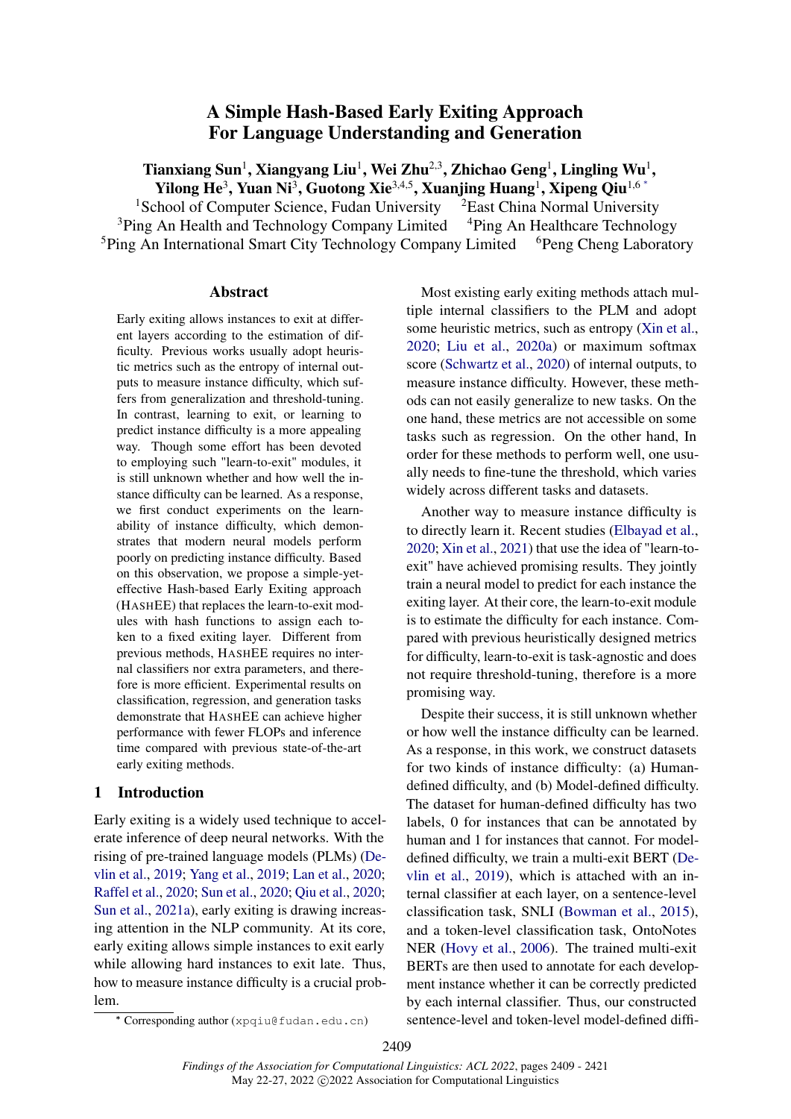# A Simple Hash-Based Early Exiting Approach For Language Understanding and Generation

<span id="page-0-0"></span>Tianxiang Sun $^1$ , Xiangyang Liu $^1$ , Wei Zhu $^{2,3}$ , Zhichao Geng $^1$ , Lingling Wu $^1$ , Yilong He<sup>3</sup>, Yuan Ni<sup>3</sup>, Guotong Xie<sup>3,4,5</sup>, Xuanjing Huang<sup>1</sup>, Xipeng Qiu<sup>1,6</sup><sup>\*</sup>

<sup>1</sup>School of Computer Science, Fudan University <sup>2</sup>East China Normal University  $3P$ ing An Health and Technology Company Limited  $4P$ ing An Healthcare Technology <sup>5</sup>Ping An International Smart City Technology Company Limited <sup>6</sup>Peng Cheng Laboratory

#### Abstract

Early exiting allows instances to exit at different layers according to the estimation of difficulty. Previous works usually adopt heuristic metrics such as the entropy of internal outputs to measure instance difficulty, which suffers from generalization and threshold-tuning. In contrast, learning to exit, or learning to predict instance difficulty is a more appealing way. Though some effort has been devoted to employing such "learn-to-exit" modules, it is still unknown whether and how well the instance difficulty can be learned. As a response, we first conduct experiments on the learnability of instance difficulty, which demonstrates that modern neural models perform poorly on predicting instance difficulty. Based on this observation, we propose a simple-yeteffective Hash-based Early Exiting approach (HASHEE) that replaces the learn-to-exit modules with hash functions to assign each token to a fixed exiting layer. Different from previous methods, HASHEE requires no internal classifiers nor extra parameters, and therefore is more efficient. Experimental results on classification, regression, and generation tasks demonstrate that HASHEE can achieve higher performance with fewer FLOPs and inference time compared with previous state-of-the-art early exiting methods.

## 1 Introduction

Early exiting is a widely used technique to accelerate inference of deep neural networks. With the rising of pre-trained language models (PLMs) [\(De](#page-8-0)[vlin et al.,](#page-8-0) [2019;](#page-8-0) [Yang et al.,](#page-11-0) [2019;](#page-11-0) [Lan et al.,](#page-9-0) [2020;](#page-9-0) [Raffel et al.,](#page-10-0) [2020;](#page-10-0) [Sun et al.,](#page-10-1) [2020;](#page-10-1) [Qiu et al.,](#page-10-2) [2020;](#page-10-2) [Sun et al.,](#page-10-3) [2021a\)](#page-10-3), early exiting is drawing increasing attention in the NLP community. At its core, early exiting allows simple instances to exit early while allowing hard instances to exit late. Thus, how to measure instance difficulty is a crucial problem.

Most existing early exiting methods attach multiple internal classifiers to the PLM and adopt some heuristic metrics, such as entropy [\(Xin et al.,](#page-10-4) [2020;](#page-10-4) [Liu et al.,](#page-9-1) [2020a\)](#page-9-1) or maximum softmax score [\(Schwartz et al.,](#page-10-5) [2020\)](#page-10-5) of internal outputs, to measure instance difficulty. However, these methods can not easily generalize to new tasks. On the one hand, these metrics are not accessible on some tasks such as regression. On the other hand, In order for these methods to perform well, one usually needs to fine-tune the threshold, which varies widely across different tasks and datasets.

Another way to measure instance difficulty is to directly learn it. Recent studies [\(Elbayad et al.,](#page-8-1) [2020;](#page-8-1) [Xin et al.,](#page-10-6) [2021\)](#page-10-6) that use the idea of "learn-toexit" have achieved promising results. They jointly train a neural model to predict for each instance the exiting layer. At their core, the learn-to-exit module is to estimate the difficulty for each instance. Compared with previous heuristically designed metrics for difficulty, learn-to-exit is task-agnostic and does not require threshold-tuning, therefore is a more promising way.

Despite their success, it is still unknown whether or how well the instance difficulty can be learned. As a response, in this work, we construct datasets for two kinds of instance difficulty: (a) Humandefined difficulty, and (b) Model-defined difficulty. The dataset for human-defined difficulty has two labels, 0 for instances that can be annotated by human and 1 for instances that cannot. For modeldefined difficulty, we train a multi-exit BERT [\(De](#page-8-0)[vlin et al.,](#page-8-0) [2019\)](#page-8-0), which is attached with an internal classifier at each layer, on a sentence-level classification task, SNLI [\(Bowman et al.,](#page-8-2) [2015\)](#page-8-2), and a token-level classification task, OntoNotes NER [\(Hovy et al.,](#page-8-3) [2006\)](#page-8-3). The trained multi-exit BERTs are then used to annotate for each development instance whether it can be correctly predicted by each internal classifier. Thus, our constructed sentence-level and token-level model-defined diffi-

<sup>∗</sup> Corresponding author (xpqiu@fudan.edu.cn)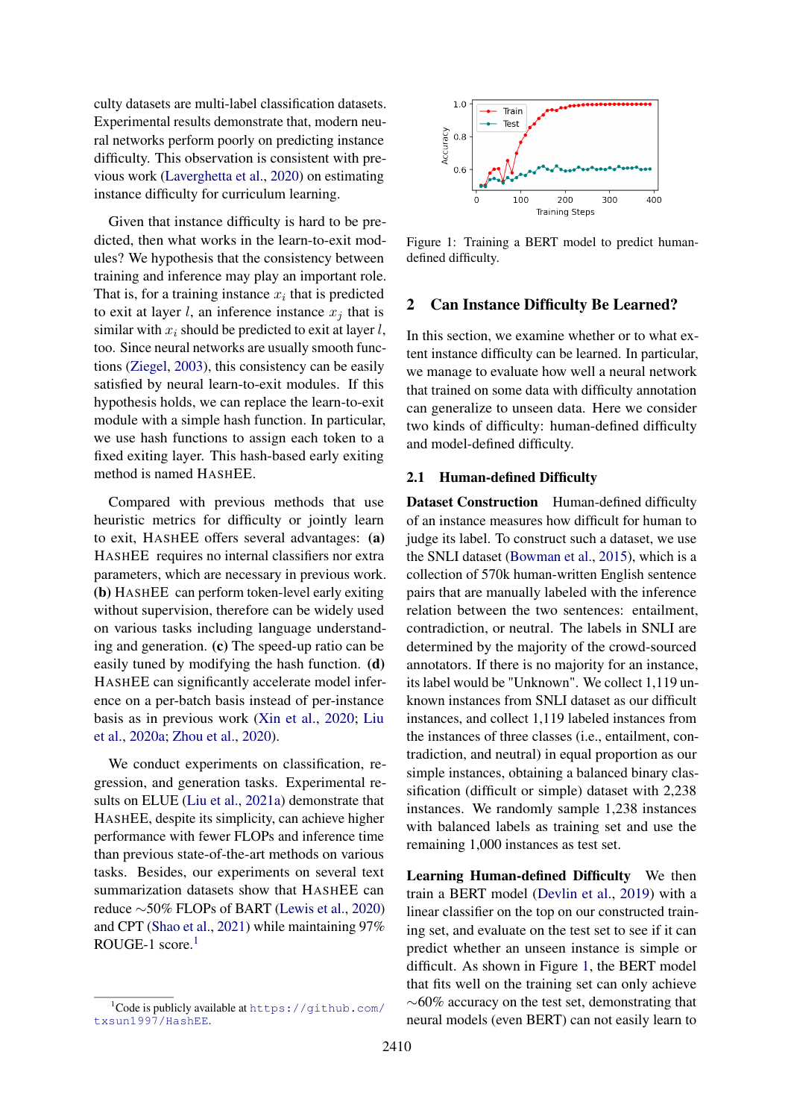culty datasets are multi-label classification datasets. Experimental results demonstrate that, modern neural networks perform poorly on predicting instance difficulty. This observation is consistent with previous work [\(Laverghetta et al.,](#page-9-2) [2020\)](#page-9-2) on estimating instance difficulty for curriculum learning.

Given that instance difficulty is hard to be predicted, then what works in the learn-to-exit modules? We hypothesis that the consistency between training and inference may play an important role. That is, for a training instance  $x_i$  that is predicted to exit at layer l, an inference instance  $x_i$  that is similar with  $x_i$  should be predicted to exit at layer l, too. Since neural networks are usually smooth functions [\(Ziegel,](#page-11-1) [2003\)](#page-11-1), this consistency can be easily satisfied by neural learn-to-exit modules. If this hypothesis holds, we can replace the learn-to-exit module with a simple hash function. In particular, we use hash functions to assign each token to a fixed exiting layer. This hash-based early exiting method is named HASHEE.

Compared with previous methods that use heuristic metrics for difficulty or jointly learn to exit, HASHEE offers several advantages: (a) HASHEE requires no internal classifiers nor extra parameters, which are necessary in previous work. (b) HASHEE can perform token-level early exiting without supervision, therefore can be widely used on various tasks including language understanding and generation. (c) The speed-up ratio can be easily tuned by modifying the hash function. (d) HASHEE can significantly accelerate model inference on a per-batch basis instead of per-instance basis as in previous work [\(Xin et al.,](#page-10-4) [2020;](#page-10-4) [Liu](#page-9-1) [et al.,](#page-9-1) [2020a;](#page-9-1) [Zhou et al.,](#page-11-2) [2020\)](#page-11-2).

We conduct experiments on classification, regression, and generation tasks. Experimental results on ELUE [\(Liu et al.,](#page-9-3) [2021a\)](#page-9-3) demonstrate that HASHEE, despite its simplicity, can achieve higher performance with fewer FLOPs and inference time than previous state-of-the-art methods on various tasks. Besides, our experiments on several text summarization datasets show that HASHEE can reduce ∼50% FLOPs of BART [\(Lewis et al.,](#page-9-4) [2020\)](#page-9-4) and CPT [\(Shao et al.,](#page-10-7) [2021\)](#page-10-7) while maintaining 97% ROUGE-[1](#page-1-0) score. $1$ 

<span id="page-1-1"></span>

Figure 1: Training a BERT model to predict humandefined difficulty.

### 2 Can Instance Difficulty Be Learned?

In this section, we examine whether or to what extent instance difficulty can be learned. In particular, we manage to evaluate how well a neural network that trained on some data with difficulty annotation can generalize to unseen data. Here we consider two kinds of difficulty: human-defined difficulty and model-defined difficulty.

#### 2.1 Human-defined Difficulty

Dataset Construction Human-defined difficulty of an instance measures how difficult for human to judge its label. To construct such a dataset, we use the SNLI dataset [\(Bowman et al.,](#page-8-2) [2015\)](#page-8-2), which is a collection of 570k human-written English sentence pairs that are manually labeled with the inference relation between the two sentences: entailment, contradiction, or neutral. The labels in SNLI are determined by the majority of the crowd-sourced annotators. If there is no majority for an instance, its label would be "Unknown". We collect 1,119 unknown instances from SNLI dataset as our difficult instances, and collect 1,119 labeled instances from the instances of three classes (i.e., entailment, contradiction, and neutral) in equal proportion as our simple instances, obtaining a balanced binary classification (difficult or simple) dataset with 2,238 instances. We randomly sample 1,238 instances with balanced labels as training set and use the remaining 1,000 instances as test set.

Learning Human-defined Difficulty We then train a BERT model [\(Devlin et al.,](#page-8-0) [2019\)](#page-8-0) with a linear classifier on the top on our constructed training set, and evaluate on the test set to see if it can predict whether an unseen instance is simple or difficult. As shown in Figure [1,](#page-1-1) the BERT model that fits well on the training set can only achieve  $~\sim$ 60% accuracy on the test set, demonstrating that neural models (even BERT) can not easily learn to

<span id="page-1-0"></span><sup>&</sup>lt;sup>1</sup>Code is publicly available at [https://github.com/](https://github.com/txsun1997/HashEE) [txsun1997/HashEE](https://github.com/txsun1997/HashEE).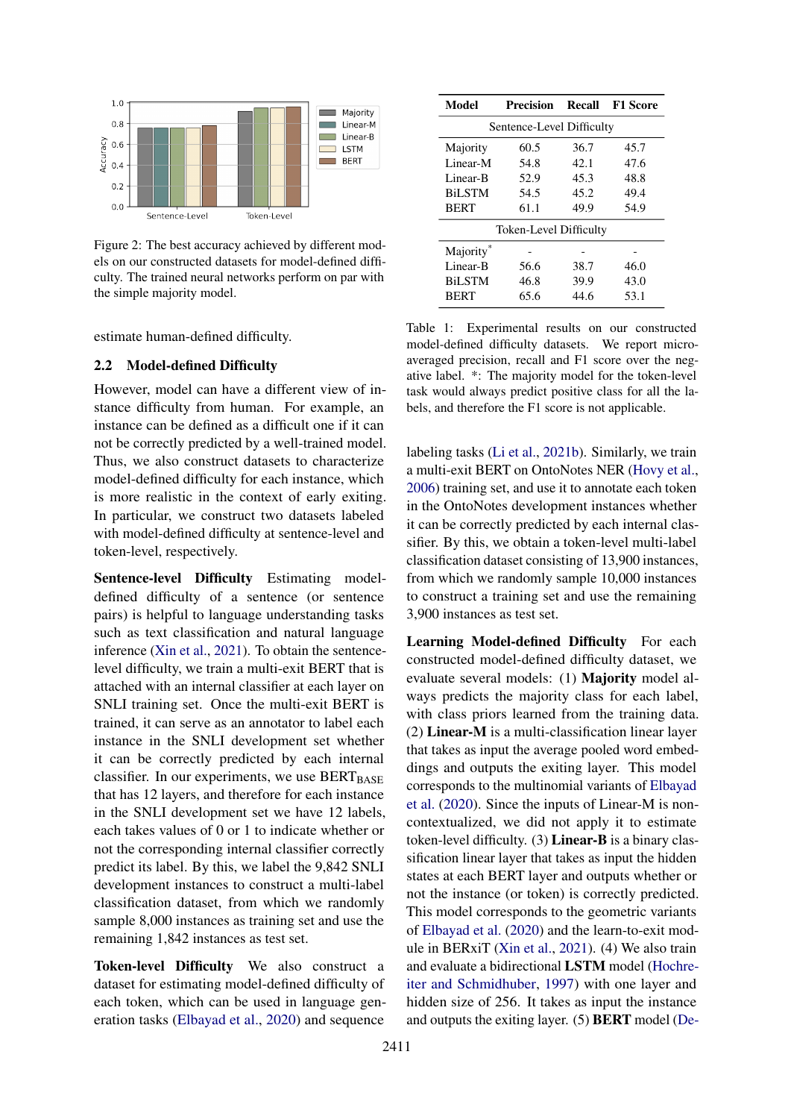<span id="page-2-0"></span>

Figure 2: The best accuracy achieved by different models on our constructed datasets for model-defined difficulty. The trained neural networks perform on par with the simple majority model.

estimate human-defined difficulty.

#### 2.2 Model-defined Difficulty

However, model can have a different view of instance difficulty from human. For example, an instance can be defined as a difficult one if it can not be correctly predicted by a well-trained model. Thus, we also construct datasets to characterize model-defined difficulty for each instance, which is more realistic in the context of early exiting. In particular, we construct two datasets labeled with model-defined difficulty at sentence-level and token-level, respectively.

Sentence-level Difficulty Estimating modeldefined difficulty of a sentence (or sentence pairs) is helpful to language understanding tasks such as text classification and natural language inference [\(Xin et al.,](#page-10-6) [2021\)](#page-10-6). To obtain the sentencelevel difficulty, we train a multi-exit BERT that is attached with an internal classifier at each layer on SNLI training set. Once the multi-exit BERT is trained, it can serve as an annotator to label each instance in the SNLI development set whether it can be correctly predicted by each internal classifier. In our experiments, we use  $BERT_{BASE}$ that has 12 layers, and therefore for each instance in the SNLI development set we have 12 labels, each takes values of 0 or 1 to indicate whether or not the corresponding internal classifier correctly predict its label. By this, we label the 9,842 SNLI development instances to construct a multi-label classification dataset, from which we randomly sample 8,000 instances as training set and use the remaining 1,842 instances as test set.

Token-level Difficulty We also construct a dataset for estimating model-defined difficulty of each token, which can be used in language generation tasks [\(Elbayad et al.,](#page-8-1) [2020\)](#page-8-1) and sequence

<span id="page-2-1"></span>

| Model                         | <b>Precision</b> | Recall | <b>F1 Score</b> |  |  |  |
|-------------------------------|------------------|--------|-----------------|--|--|--|
| Sentence-Level Difficulty     |                  |        |                 |  |  |  |
| Majority                      | 60.5             | 36.7   | 45.7            |  |  |  |
| Linear-M                      | 54.8             | 42.1   | 47.6            |  |  |  |
| Linear-B                      | 52.9             | 45.3   | 48.8            |  |  |  |
| <b>BiLSTM</b>                 | 54.5             | 45.2   | 49.4            |  |  |  |
| <b>BERT</b>                   | 61.1             | 49.9   | 54.9            |  |  |  |
| <b>Token-Level Difficulty</b> |                  |        |                 |  |  |  |
| Majority <sup>®</sup>         |                  |        |                 |  |  |  |
| Linear-B                      | 56.6             | 38.7   | 46.0            |  |  |  |
| <b>BiLSTM</b>                 | 46.8             | 39.9   | 43.0            |  |  |  |
| <b>BERT</b>                   | 65.6             | 44.6   | 53.1            |  |  |  |

Table 1: Experimental results on our constructed model-defined difficulty datasets. We report microaveraged precision, recall and F1 score over the negative label. \*: The majority model for the token-level task would always predict positive class for all the labels, and therefore the F1 score is not applicable.

labeling tasks [\(Li et al.,](#page-9-5) [2021b\)](#page-9-5). Similarly, we train a multi-exit BERT on OntoNotes NER [\(Hovy et al.,](#page-8-3) [2006\)](#page-8-3) training set, and use it to annotate each token in the OntoNotes development instances whether it can be correctly predicted by each internal classifier. By this, we obtain a token-level multi-label classification dataset consisting of 13,900 instances, from which we randomly sample 10,000 instances to construct a training set and use the remaining 3,900 instances as test set.

Learning Model-defined Difficulty For each constructed model-defined difficulty dataset, we evaluate several models: (1) Majority model always predicts the majority class for each label, with class priors learned from the training data. (2) Linear-M is a multi-classification linear layer that takes as input the average pooled word embeddings and outputs the exiting layer. This model corresponds to the multinomial variants of [Elbayad](#page-8-1) [et al.](#page-8-1) [\(2020\)](#page-8-1). Since the inputs of Linear-M is noncontextualized, we did not apply it to estimate token-level difficulty. (3) Linear-B is a binary classification linear layer that takes as input the hidden states at each BERT layer and outputs whether or not the instance (or token) is correctly predicted. This model corresponds to the geometric variants of [Elbayad et al.](#page-8-1) [\(2020\)](#page-8-1) and the learn-to-exit module in BERxiT [\(Xin et al.,](#page-10-6) [2021\)](#page-10-6). (4) We also train and evaluate a bidirectional LSTM model [\(Hochre](#page-8-4)[iter and Schmidhuber,](#page-8-4) [1997\)](#page-8-4) with one layer and hidden size of 256. It takes as input the instance and outputs the exiting layer. (5) BERT model [\(De-](#page-8-0)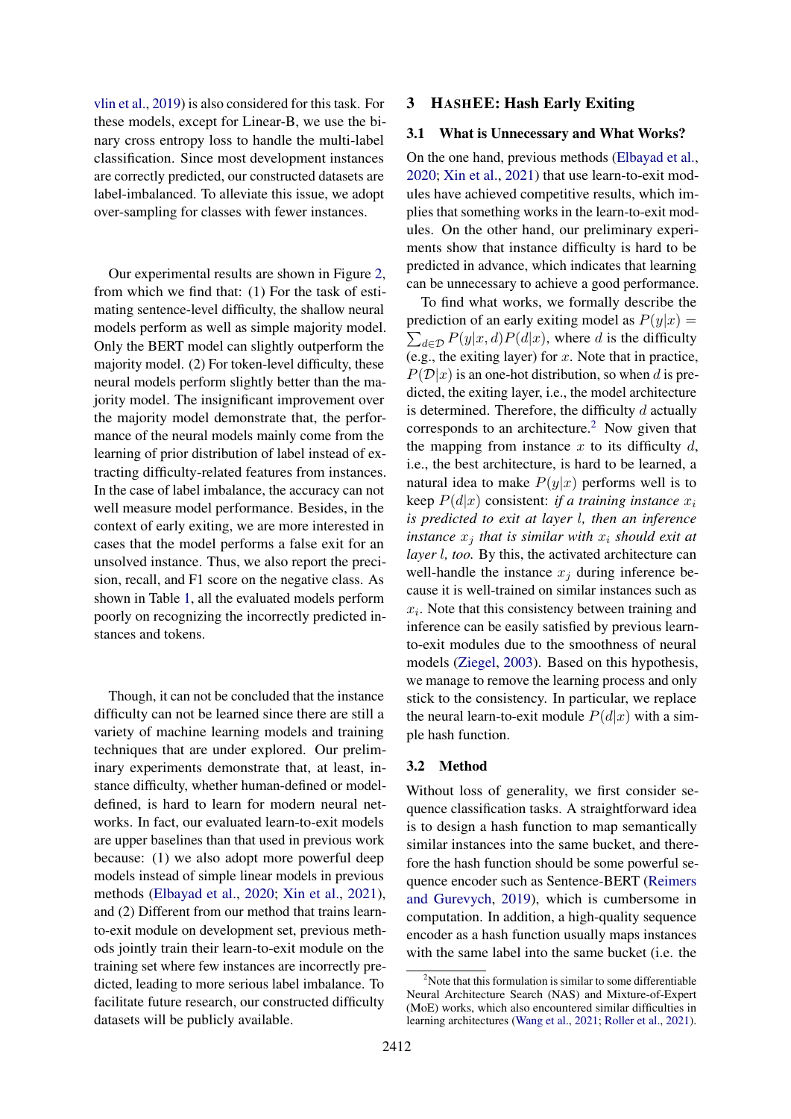[vlin et al.,](#page-8-0) [2019\)](#page-8-0) is also considered for this task. For these models, except for Linear-B, we use the binary cross entropy loss to handle the multi-label classification. Since most development instances are correctly predicted, our constructed datasets are label-imbalanced. To alleviate this issue, we adopt over-sampling for classes with fewer instances.

Our experimental results are shown in Figure [2,](#page-2-0) from which we find that: (1) For the task of estimating sentence-level difficulty, the shallow neural models perform as well as simple majority model. Only the BERT model can slightly outperform the majority model. (2) For token-level difficulty, these neural models perform slightly better than the majority model. The insignificant improvement over the majority model demonstrate that, the performance of the neural models mainly come from the learning of prior distribution of label instead of extracting difficulty-related features from instances. In the case of label imbalance, the accuracy can not well measure model performance. Besides, in the context of early exiting, we are more interested in cases that the model performs a false exit for an unsolved instance. Thus, we also report the precision, recall, and F1 score on the negative class. As shown in Table [1,](#page-2-1) all the evaluated models perform poorly on recognizing the incorrectly predicted instances and tokens.

Though, it can not be concluded that the instance difficulty can not be learned since there are still a variety of machine learning models and training techniques that are under explored. Our preliminary experiments demonstrate that, at least, instance difficulty, whether human-defined or modeldefined, is hard to learn for modern neural networks. In fact, our evaluated learn-to-exit models are upper baselines than that used in previous work because: (1) we also adopt more powerful deep models instead of simple linear models in previous methods [\(Elbayad et al.,](#page-8-1) [2020;](#page-8-1) [Xin et al.,](#page-10-6) [2021\)](#page-10-6), and (2) Different from our method that trains learnto-exit module on development set, previous methods jointly train their learn-to-exit module on the training set where few instances are incorrectly predicted, leading to more serious label imbalance. To facilitate future research, our constructed difficulty datasets will be publicly available.

### 3 HASHEE: Hash Early Exiting

#### 3.1 What is Unnecessary and What Works?

On the one hand, previous methods [\(Elbayad et al.,](#page-8-1) [2020;](#page-8-1) [Xin et al.,](#page-10-6) [2021\)](#page-10-6) that use learn-to-exit modules have achieved competitive results, which implies that something works in the learn-to-exit modules. On the other hand, our preliminary experiments show that instance difficulty is hard to be predicted in advance, which indicates that learning can be unnecessary to achieve a good performance.

To find what works, we formally describe the prediction of an early exiting model as  $P(y|x) =$  $\sum_{d \in \mathcal{D}} P(y|x, d) P(d|x)$ , where d is the difficulty (e.g., the exiting layer) for  $x$ . Note that in practice,  $P(D|x)$  is an one-hot distribution, so when d is predicted, the exiting layer, i.e., the model architecture is determined. Therefore, the difficulty  $d$  actually corresponds to an architecture.[2](#page-3-0) Now given that the mapping from instance  $x$  to its difficulty  $d$ , i.e., the best architecture, is hard to be learned, a natural idea to make  $P(y|x)$  performs well is to keep  $P(d|x)$  consistent: *if a training instance*  $x_i$ *is predicted to exit at layer* l*, then an inference instance*  $x_i$  *that is similar with*  $x_i$  *should exit at layer* l*, too.* By this, the activated architecture can well-handle the instance  $x_j$  during inference because it is well-trained on similar instances such as  $x_i$ . Note that this consistency between training and inference can be easily satisfied by previous learnto-exit modules due to the smoothness of neural models [\(Ziegel,](#page-11-1) [2003\)](#page-11-1). Based on this hypothesis, we manage to remove the learning process and only stick to the consistency. In particular, we replace the neural learn-to-exit module  $P(d|x)$  with a simple hash function.

#### 3.2 Method

Without loss of generality, we first consider sequence classification tasks. A straightforward idea is to design a hash function to map semantically similar instances into the same bucket, and therefore the hash function should be some powerful sequence encoder such as Sentence-BERT [\(Reimers](#page-10-8) [and Gurevych,](#page-10-8) [2019\)](#page-10-8), which is cumbersome in computation. In addition, a high-quality sequence encoder as a hash function usually maps instances with the same label into the same bucket (i.e. the

<span id="page-3-0"></span> $2^2$ Note that this formulation is similar to some differentiable Neural Architecture Search (NAS) and Mixture-of-Expert (MoE) works, which also encountered similar difficulties in learning architectures [\(Wang et al.,](#page-10-9) [2021;](#page-10-9) [Roller et al.,](#page-10-10) [2021\)](#page-10-10).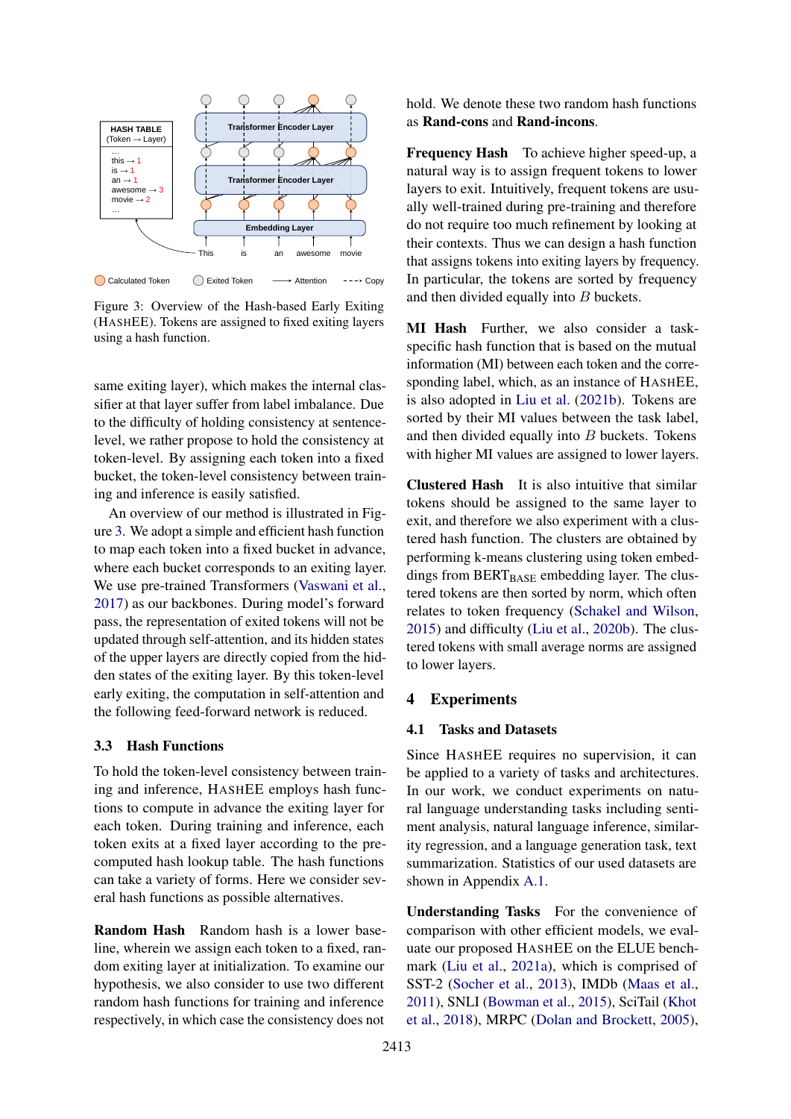<span id="page-4-0"></span>

Figure 3: Overview of the Hash-based Early Exiting (HASHEE). Tokens are assigned to fixed exiting layers using a hash function.

same exiting layer), which makes the internal classifier at that layer suffer from label imbalance. Due to the difficulty of holding consistency at sentencelevel, we rather propose to hold the consistency at token-level. By assigning each token into a fixed bucket, the token-level consistency between training and inference is easily satisfied.

An overview of our method is illustrated in Figure [3.](#page-4-0) We adopt a simple and efficient hash function to map each token into a fixed bucket in advance, where each bucket corresponds to an exiting layer. We use pre-trained Transformers [\(Vaswani et al.,](#page-10-11) [2017\)](#page-10-11) as our backbones. During model's forward pass, the representation of exited tokens will not be updated through self-attention, and its hidden states of the upper layers are directly copied from the hidden states of the exiting layer. By this token-level early exiting, the computation in self-attention and the following feed-forward network is reduced.

## <span id="page-4-1"></span>3.3 Hash Functions

To hold the token-level consistency between training and inference, HASHEE employs hash functions to compute in advance the exiting layer for each token. During training and inference, each token exits at a fixed layer according to the precomputed hash lookup table. The hash functions can take a variety of forms. Here we consider several hash functions as possible alternatives.

Random Hash Random hash is a lower baseline, wherein we assign each token to a fixed, random exiting layer at initialization. To examine our hypothesis, we also consider to use two different random hash functions for training and inference respectively, in which case the consistency does not

hold. We denote these two random hash functions as Rand-cons and Rand-incons.

Frequency Hash To achieve higher speed-up, a natural way is to assign frequent tokens to lower layers to exit. Intuitively, frequent tokens are usually well-trained during pre-training and therefore do not require too much refinement by looking at their contexts. Thus we can design a hash function that assigns tokens into exiting layers by frequency. In particular, the tokens are sorted by frequency and then divided equally into B buckets.

MI Hash Further, we also consider a taskspecific hash function that is based on the mutual information (MI) between each token and the corresponding label, which, as an instance of HASHEE, is also adopted in [Liu et al.](#page-9-6) [\(2021b\)](#page-9-6). Tokens are sorted by their MI values between the task label, and then divided equally into B buckets. Tokens with higher MI values are assigned to lower layers.

Clustered Hash It is also intuitive that similar tokens should be assigned to the same layer to exit, and therefore we also experiment with a clustered hash function. The clusters are obtained by performing k-means clustering using token embeddings from  $BERT_{BASE}$  embedding layer. The clustered tokens are then sorted by norm, which often relates to token frequency [\(Schakel and Wilson,](#page-10-12) [2015\)](#page-10-12) and difficulty [\(Liu et al.,](#page-9-7) [2020b\)](#page-9-7). The clustered tokens with small average norms are assigned to lower layers.

## 4 Experiments

#### 4.1 Tasks and Datasets

Since HASHEE requires no supervision, it can be applied to a variety of tasks and architectures. In our work, we conduct experiments on natural language understanding tasks including sentiment analysis, natural language inference, similarity regression, and a language generation task, text summarization. Statistics of our used datasets are shown in Appendix [A.1.](#page-11-3)

Understanding Tasks For the convenience of comparison with other efficient models, we evaluate our proposed HASHEE on the ELUE benchmark [\(Liu et al.,](#page-9-3) [2021a\)](#page-9-3), which is comprised of SST-2 [\(Socher et al.,](#page-10-13) [2013\)](#page-10-13), IMDb [\(Maas et al.,](#page-9-8) [2011\)](#page-9-8), SNLI [\(Bowman et al.,](#page-8-2) [2015\)](#page-8-2), SciTail [\(Khot](#page-9-9) [et al.,](#page-9-9) [2018\)](#page-9-9), MRPC [\(Dolan and Brockett,](#page-8-5) [2005\)](#page-8-5),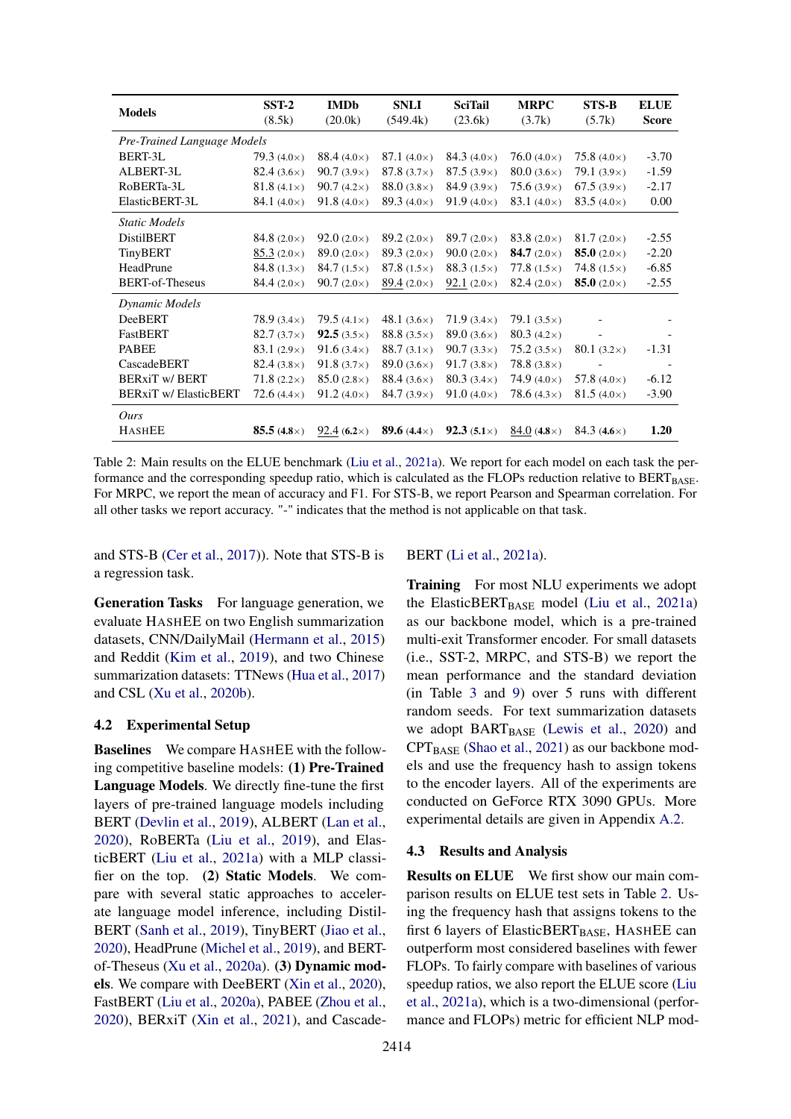<span id="page-5-0"></span>

| <b>Models</b>                | $SST-2$<br>(8.5k)  | <b>IMDb</b><br>(20.0k)    | <b>SNLI</b><br>(549.4k)     | <b>SciTail</b><br>(23.6k) | <b>MRPC</b><br>(3.7k)     | $STS-B$<br>(5.7k)         | <b>ELUE</b><br><b>Score</b> |
|------------------------------|--------------------|---------------------------|-----------------------------|---------------------------|---------------------------|---------------------------|-----------------------------|
| Pre-Trained Language Models  |                    |                           |                             |                           |                           |                           |                             |
| BERT-3L                      | 79.3 $(4.0\times)$ | 88.4 $(4.0\times)$        | 87.1 $(4.0\times)$          | 84.3 $(4.0\times)$        | 76.0 $(4.0\times)$        | 75.8 $(4.0\times)$        | $-3.70$                     |
| ALBERT-3L                    | $82.4(3.6\times)$  | $90.7(3.9\times)$         | 87.8 $(3.7\times)$          | $87.5(3.9\times)$         | $80.0(3.6\times)$         | 79.1 $(3.9\times)$        | $-1.59$                     |
| RoBERTa-3L                   | 81.8 $(4.1\times)$ | $90.7(4.2\times)$         | 88.0 $(3.8\times)$          | $84.9(3.9\times)$         | 75.6 $(3.9\times)$        | 67.5 $(3.9\times)$        | $-2.17$                     |
| ElasticBERT-3L               | 84.1 $(4.0\times)$ | 91.8 $(4.0\times)$        | 89.3 $(4.0\times)$          | $91.9(4.0\times)$         | 83.1 $(4.0\times)$        | 83.5 $(4.0\times)$        | 0.00                        |
| Static Models                |                    |                           |                             |                           |                           |                           |                             |
| <b>DistilBERT</b>            | 84.8 $(2.0\times)$ | $92.0(2.0\times)$         | 89.2 $(2.0\times)$          | 89.7 $(2.0\times)$        | 83.8 $(2.0\times)$        | $81.7(2.0\times)$         | $-2.55$                     |
| <b>TinyBERT</b>              | $85.3(2.0\times)$  | 89.0 $(2.0\times)$        | 89.3 $(2.0\times)$          | $90.0(2.0\times)$         | <b>84.7</b> $(2.0\times)$ | <b>85.0</b> $(2.0\times)$ | $-2.20$                     |
| HeadPrune                    | 84.8 $(1.3\times)$ | 84.7 $(1.5\times)$        | 87.8 $(1.5\times)$          | 88.3 $(1.5\times)$        | 77.8 $(1.5\times)$        | 74.8 $(1.5\times)$        | $-6.85$                     |
| <b>BERT-of-Theseus</b>       | 84.4 $(2.0\times)$ | $90.7(2.0\times)$         | 89.4 $(2.0\times)$          | 92.1 $(2.0\times)$        | 82.4 $(2.0\times)$        | <b>85.0</b> $(2.0\times)$ | $-2.55$                     |
| Dynamic Models               |                    |                           |                             |                           |                           |                           |                             |
| <b>DeeBERT</b>               | $78.9(3.4\times)$  | 79.5 $(4.1\times)$        | 48.1 $(3.6\times)$          | $71.9(3.4\times)$         | 79.1 $(3.5\times)$        | $\overline{\phantom{a}}$  |                             |
| FastBERT                     | $82.7(3.7\times)$  | <b>92.5</b> $(3.5\times)$ | 88.8 $(3.5\times)$          | 89.0 $(3.6\times)$        | 80.3 $(4.2\times)$        |                           |                             |
| <b>PABEE</b>                 | $83.1(2.9\times)$  | 91.6 $(3.4\times)$        | 88.7 $(3.1\times)$          | $90.7(3.3\times)$         | $75.2(3.5\times)$         | 80.1 $(3.2\times)$        | $-1.31$                     |
| CascadeBERT                  | 82.4 $(3.8\times)$ | $91.8(3.7\times)$         | 89.0 $(3.6\times)$          | $91.7(3.8\times)$         | 78.8 $(3.8\times)$        |                           |                             |
| <b>BERXIT W/ BERT</b>        | $71.8(2.2\times)$  | $85.0(2.8\times)$         | 88.4 $(3.6\times)$          | 80.3 $(3.4\times)$        | 74.9 $(4.0\times)$        | 57.8 $(4.0\times)$        | $-6.12$                     |
| <b>BERxiT w/ ElasticBERT</b> | $72.6(4.4\times)$  | $91.2(4.0\times)$         | 84.7 $(3.9\times)$          | $91.0(4.0\times)$         | 78.6 $(4.3\times)$        | 81.5 $(4.0\times)$        | $-3.90$                     |
| Ours                         |                    |                           |                             |                           |                           |                           |                             |
| <b>HASHEE</b>                | 85.5 $(4.8\times)$ | 92.4 $(6.2\times)$        | <b>89.6</b> (4.4 $\times$ ) | $92.3(5.1\times)$         | 84.0 $(4.8\times)$        | 84.3 $(4.6\times)$        | 1.20                        |

Table 2: Main results on the ELUE benchmark [\(Liu et al.,](#page-9-3) [2021a\)](#page-9-3). We report for each model on each task the performance and the corresponding speedup ratio, which is calculated as the FLOPs reduction relative to BERTBASE. For MRPC, we report the mean of accuracy and F1. For STS-B, we report Pearson and Spearman correlation. For all other tasks we report accuracy. "-" indicates that the method is not applicable on that task.

and STS-B [\(Cer et al.,](#page-8-6) [2017\)](#page-8-6)). Note that STS-B is a regression task.

Generation Tasks For language generation, we evaluate HASHEE on two English summarization datasets, CNN/DailyMail [\(Hermann et al.,](#page-8-7) [2015\)](#page-8-7) and Reddit [\(Kim et al.,](#page-9-10) [2019\)](#page-9-10), and two Chinese summarization datasets: TTNews [\(Hua et al.,](#page-8-8) [2017\)](#page-8-8) and CSL [\(Xu et al.,](#page-11-4) [2020b\)](#page-11-4).

## 4.2 Experimental Setup

Baselines We compare HASHEE with the following competitive baseline models: (1) Pre-Trained Language Models. We directly fine-tune the first layers of pre-trained language models including BERT [\(Devlin et al.,](#page-8-0) [2019\)](#page-8-0), ALBERT [\(Lan et al.,](#page-9-0) [2020\)](#page-9-0), RoBERTa [\(Liu et al.,](#page-9-11) [2019\)](#page-9-11), and ElasticBERT [\(Liu et al.,](#page-9-3) [2021a\)](#page-9-3) with a MLP classifier on the top. (2) Static Models. We compare with several static approaches to accelerate language model inference, including Distil-BERT [\(Sanh et al.,](#page-10-14) [2019\)](#page-10-14), TinyBERT [\(Jiao et al.,](#page-8-9) [2020\)](#page-8-9), HeadPrune [\(Michel et al.,](#page-10-15) [2019\)](#page-10-15), and BERTof-Theseus [\(Xu et al.,](#page-11-5) [2020a\)](#page-11-5). (3) Dynamic models. We compare with DeeBERT [\(Xin et al.,](#page-10-4) [2020\)](#page-10-4), FastBERT [\(Liu et al.,](#page-9-1) [2020a\)](#page-9-1), PABEE [\(Zhou et al.,](#page-11-2) [2020\)](#page-11-2), BERxiT [\(Xin et al.,](#page-10-6) [2021\)](#page-10-6), and Cascade-

#### BERT [\(Li et al.,](#page-9-12) [2021a\)](#page-9-12).

Training For most NLU experiments we adopt the ElasticBERT $_{\text{BASE}}$  model [\(Liu et al.,](#page-9-3) [2021a\)](#page-9-3) as our backbone model, which is a pre-trained multi-exit Transformer encoder. For small datasets (i.e., SST-2, MRPC, and STS-B) we report the mean performance and the standard deviation (in Table [3](#page-6-0) and [9\)](#page-12-0) over 5 runs with different random seeds. For text summarization datasets we adopt  $BART_{BASE}$  [\(Lewis et al.,](#page-9-4) [2020\)](#page-9-4) and  $CPT_{BASE}$  [\(Shao et al.,](#page-10-7) [2021\)](#page-10-7) as our backbone models and use the frequency hash to assign tokens to the encoder layers. All of the experiments are conducted on GeForce RTX 3090 GPUs. More experimental details are given in Appendix [A.2.](#page-11-6)

### 4.3 Results and Analysis

Results on ELUE We first show our main comparison results on ELUE test sets in Table [2.](#page-5-0) Using the frequency hash that assigns tokens to the first 6 layers of ElasticBERT $_{BASE}$ , HASHEE can outperform most considered baselines with fewer FLOPs. To fairly compare with baselines of various speedup ratios, we also report the ELUE score [\(Liu](#page-9-3) [et al.,](#page-9-3) [2021a\)](#page-9-3), which is a two-dimensional (performance and FLOPs) metric for efficient NLP mod-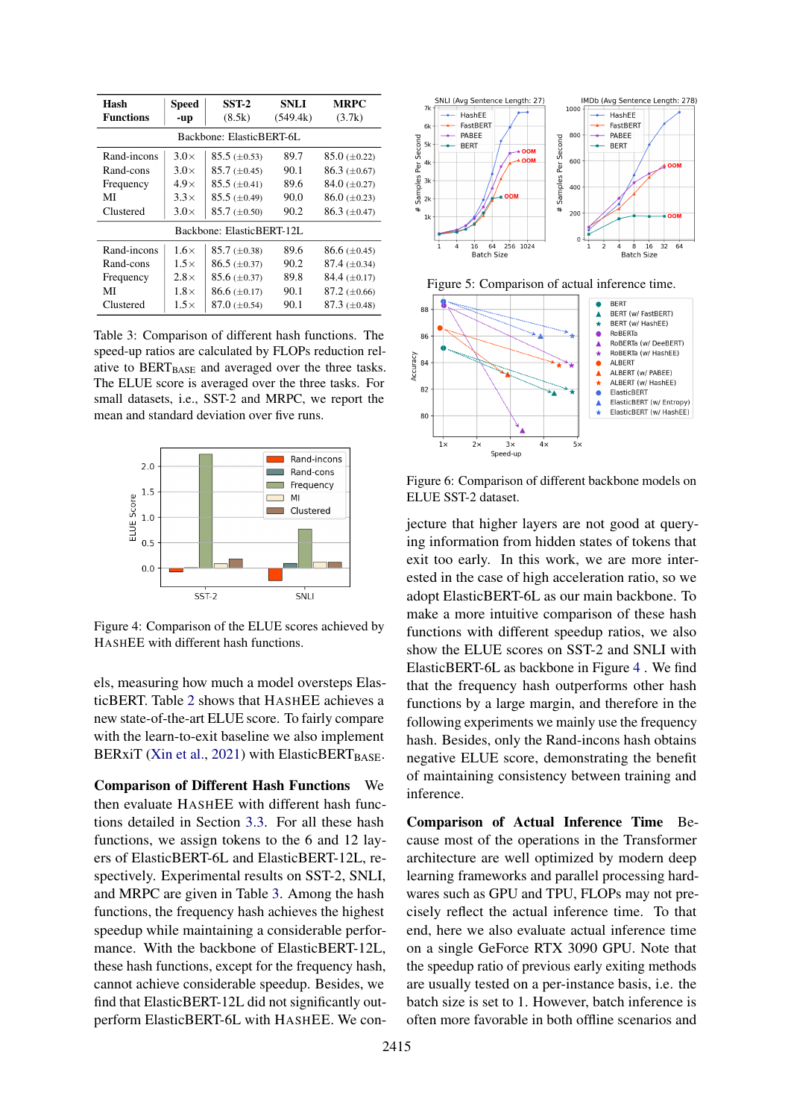<span id="page-6-0"></span>

| Hash<br><b>Functions</b> | <b>Speed</b><br>-up | SST-2<br>(8.5k)           | <b>SNLI</b><br>(549.4k) | <b>MRPC</b><br>(3.7k) |  |  |
|--------------------------|---------------------|---------------------------|-------------------------|-----------------------|--|--|
| Backbone: ElasticBERT-6L |                     |                           |                         |                       |  |  |
| Rand-incons              | $3.0\times$         | $85.5 \ (\pm 0.53)$       | 89.7                    | $85.0 \ (\pm 0.22)$   |  |  |
| Rand-cons                | $3.0\times$         | $85.7 \ (\pm 0.45)$       | 90.1                    | $86.3 \ (\pm 0.67)$   |  |  |
| Frequency                | $4.9\times$         | $85.5 \ (\pm 0.41)$       | 89.6                    | 84.0 $(\pm 0.27)$     |  |  |
| MI                       | $3.3\times$         | $85.5 \ (\pm 0.49)$       | 90.0                    | $86.0 \ (\pm 0.23)$   |  |  |
| Clustered                | $3.0\times$         | $85.7 \ (\pm 0.50)$       | 90.2                    | $86.3 \ (\pm 0.47)$   |  |  |
|                          |                     | Backbone: ElasticBERT-12L |                         |                       |  |  |
| Rand-incons              | $1.6\times$         | $85.7 \ (\pm 0.38)$       | 89.6                    | $86.6 \ (\pm 0.45)$   |  |  |
| Rand-cons                | $1.5\times$         | $86.5 \ (\pm 0.37)$       | 90.2                    | $87.4~(\pm 0.34)$     |  |  |
| Frequency                | $2.8\times$         | $85.6 \ (\pm 0.37)$       | 89.8                    | 84.4 $(\pm 0.17)$     |  |  |
| MI                       | $1.8\times$         | $86.6 \ (\pm 0.17)$       | 90.1                    | $87.2 \ (\pm 0.66)$   |  |  |
| Clustered                | $1.5\times$         | $87.0 \ (\pm 0.54)$       | 90.1                    | $87.3 \ (\pm 0.48)$   |  |  |

Table 3: Comparison of different hash functions. The speed-up ratios are calculated by FLOPs reduction relative to BERT<sub>BASE</sub> and averaged over the three tasks. The ELUE score is averaged over the three tasks. For small datasets, i.e., SST-2 and MRPC, we report the mean and standard deviation over five runs.

<span id="page-6-1"></span>

Figure 4: Comparison of the ELUE scores achieved by HASHEE with different hash functions.

els, measuring how much a model oversteps ElasticBERT. Table [2](#page-5-0) shows that HASHEE achieves a new state-of-the-art ELUE score. To fairly compare with the learn-to-exit baseline we also implement BERxiT [\(Xin et al.,](#page-10-6) [2021\)](#page-10-6) with ElasticBERT $_{\text{BASE}}$ .

Comparison of Different Hash Functions We then evaluate HASHEE with different hash functions detailed in Section [3.3.](#page-4-1) For all these hash functions, we assign tokens to the 6 and 12 layers of ElasticBERT-6L and ElasticBERT-12L, respectively. Experimental results on SST-2, SNLI, and MRPC are given in Table [3.](#page-6-0) Among the hash functions, the frequency hash achieves the highest speedup while maintaining a considerable performance. With the backbone of ElasticBERT-12L, these hash functions, except for the frequency hash, cannot achieve considerable speedup. Besides, we find that ElasticBERT-12L did not significantly outperform ElasticBERT-6L with HASHEE. We con-

<span id="page-6-2"></span>

<span id="page-6-3"></span>Figure 6: Comparison of different backbone models on ELUE SST-2 dataset.

jecture that higher layers are not good at querying information from hidden states of tokens that exit too early. In this work, we are more interested in the case of high acceleration ratio, so we adopt ElasticBERT-6L as our main backbone. To make a more intuitive comparison of these hash functions with different speedup ratios, we also show the ELUE scores on SST-2 and SNLI with ElasticBERT-6L as backbone in Figure [4](#page-6-1) . We find that the frequency hash outperforms other hash functions by a large margin, and therefore in the following experiments we mainly use the frequency hash. Besides, only the Rand-incons hash obtains negative ELUE score, demonstrating the benefit of maintaining consistency between training and inference.

Comparison of Actual Inference Time Because most of the operations in the Transformer architecture are well optimized by modern deep learning frameworks and parallel processing hardwares such as GPU and TPU, FLOPs may not precisely reflect the actual inference time. To that end, here we also evaluate actual inference time on a single GeForce RTX 3090 GPU. Note that the speedup ratio of previous early exiting methods are usually tested on a per-instance basis, i.e. the batch size is set to 1. However, batch inference is often more favorable in both offline scenarios and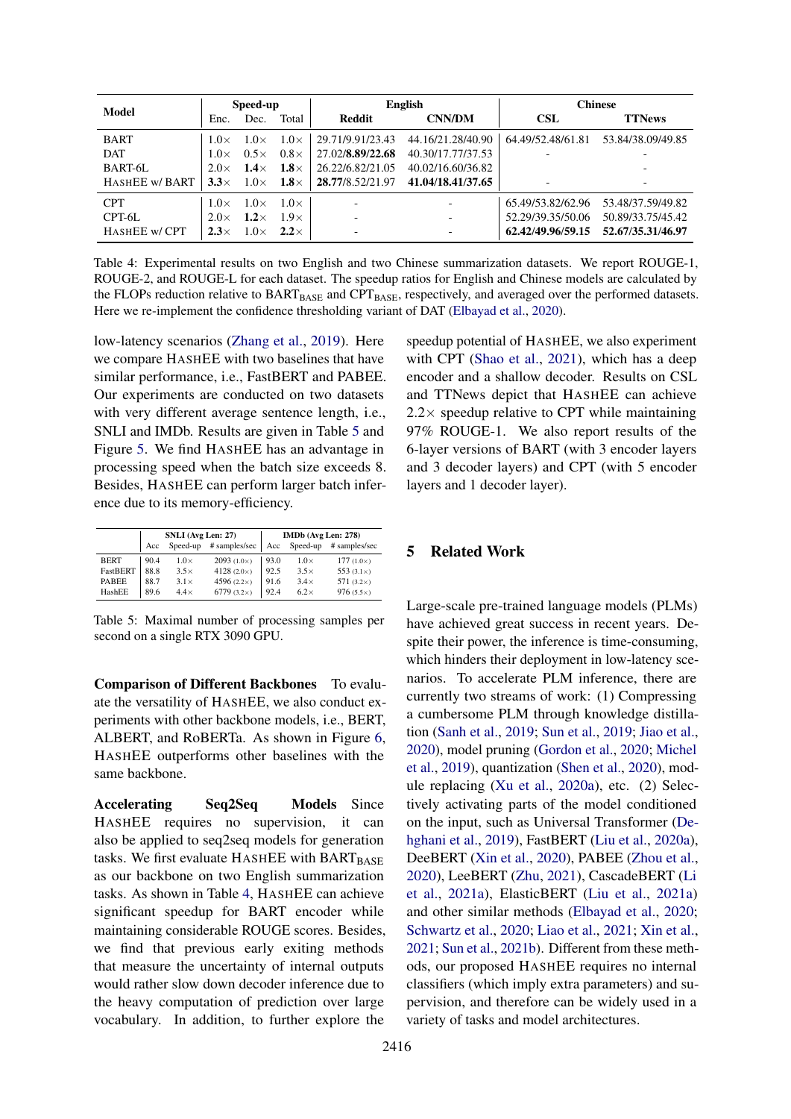<span id="page-7-1"></span>

| Model          |             | Speed-up    |             |                          | English                  |                          | <b>Chinese</b>    |  |
|----------------|-------------|-------------|-------------|--------------------------|--------------------------|--------------------------|-------------------|--|
|                | Enc.        | Dec.        | Total       | Reddit                   | <b>CNN/DM</b>            | <b>CSL</b>               | <b>TTNews</b>     |  |
| <b>BART</b>    | $1.0\times$ | $1.0\times$ | $1.0\times$ | 29.71/9.91/23.43         | 44.16/21.28/40.90        | 64.49/52.48/61.81        | 53.84/38.09/49.85 |  |
| <b>DAT</b>     | $1.0\times$ | $0.5\times$ | $0.8\times$ | 27.02/8.89/22.68         | 40.30/17.77/37.53        | $\overline{\phantom{a}}$ |                   |  |
| BART-6L        | $2.0\times$ | $1.4\times$ | $1.8\times$ | 26.22/6.82/21.05         | 40.02/16.60/36.82        |                          |                   |  |
| HASHEE w/ BART | $3.3\times$ | $1.0\times$ | $1.8\times$ | 28.77/8.52/21.97         | 41.04/18.41/37.65        | $\overline{\phantom{a}}$ |                   |  |
| <b>CPT</b>     | $1.0\times$ | $1.0\times$ | $1.0\times$ | $\overline{\phantom{a}}$ | $\overline{\phantom{0}}$ | 65.49/53.82/62.96        | 53.48/37.59/49.82 |  |
| CPT-6L         | $2.0\times$ | $1.2\times$ | $1.9\times$ | $\overline{\phantom{a}}$ | ٠                        | 52.29/39.35/50.06        | 50.89/33.75/45.42 |  |
| HASHEE w/CPT   | $2.3\times$ | $1.0\times$ | $2.2\times$ | $\overline{\phantom{a}}$ | ٠                        | 62.42/49.96/59.15        | 52.67/35.31/46.97 |  |

Table 4: Experimental results on two English and two Chinese summarization datasets. We report ROUGE-1, ROUGE-2, and ROUGE-L for each dataset. The speedup ratios for English and Chinese models are calculated by the FLOPs reduction relative to BARTBASE and CPTBASE, respectively, and averaged over the performed datasets. Here we re-implement the confidence thresholding variant of DAT [\(Elbayad et al.,](#page-8-1) [2020\)](#page-8-1).

low-latency scenarios [\(Zhang et al.,](#page-11-7) [2019\)](#page-11-7). Here we compare HASHEE with two baselines that have similar performance, i.e., FastBERT and PABEE. Our experiments are conducted on two datasets with very different average sentence length, i.e., SNLI and IMDb. Results are given in Table [5](#page-7-0) and Figure [5.](#page-6-2) We find HASHEE has an advantage in processing speed when the batch size exceeds 8. Besides, HASHEE can perform larger batch inference due to its memory-efficiency.

<span id="page-7-0"></span>

|                 |      | SNLI (Avg Len: 27) |                    |      | IMDb (Avg Len: 278) |                   |
|-----------------|------|--------------------|--------------------|------|---------------------|-------------------|
|                 | Acc  | Speed-up           | # samples/sec      | Acc  | Speed-up            | # samples/sec     |
| <b>BERT</b>     | 90.4 | $1.0\times$        | $2093(1.0\times)$  | 93.0 | $1.0\times$         | $177(1.0\times)$  |
| <b>FastBERT</b> | 88.8 | $3.5\times$        | 4128 $(2.0\times)$ | 92.5 | $3.5\times$         | 553 $(3.1\times)$ |
| <b>PABEE</b>    | 88.7 | $3.1\times$        | 4596 $(2.2\times)$ | 91.6 | $3.4\times$         | 571 $(3.2\times)$ |
| HashEE          | 89.6 | $4.4\times$        | 6779 $(3.2\times)$ | 92.4 | $6.2\times$         | 976 $(5.5\times)$ |

Table 5: Maximal number of processing samples per second on a single RTX 3090 GPU.

Comparison of Different Backbones To evaluate the versatility of HASHEE, we also conduct experiments with other backbone models, i.e., BERT, ALBERT, and RoBERTa. As shown in Figure [6,](#page-6-3) HASHEE outperforms other baselines with the same backbone.

Accelerating Seq2Seq Models Since HASHEE requires no supervision, it can also be applied to seq2seq models for generation tasks. We first evaluate  $HASHEE$  with  $BART_{BASE}$ as our backbone on two English summarization tasks. As shown in Table [4,](#page-7-1) HASHEE can achieve significant speedup for BART encoder while maintaining considerable ROUGE scores. Besides, we find that previous early exiting methods that measure the uncertainty of internal outputs would rather slow down decoder inference due to the heavy computation of prediction over large vocabulary. In addition, to further explore the

speedup potential of HASHEE, we also experiment with CPT [\(Shao et al.,](#page-10-7) [2021\)](#page-10-7), which has a deep encoder and a shallow decoder. Results on CSL and TTNews depict that HASHEE can achieve  $2.2 \times$  speedup relative to CPT while maintaining 97% ROUGE-1. We also report results of the 6-layer versions of BART (with 3 encoder layers and 3 decoder layers) and CPT (with 5 encoder layers and 1 decoder layer).

## 5 Related Work

Large-scale pre-trained language models (PLMs) have achieved great success in recent years. Despite their power, the inference is time-consuming, which hinders their deployment in low-latency scenarios. To accelerate PLM inference, there are currently two streams of work: (1) Compressing a cumbersome PLM through knowledge distillation [\(Sanh et al.,](#page-10-14) [2019;](#page-10-14) [Sun et al.,](#page-10-16) [2019;](#page-10-16) [Jiao et al.,](#page-8-9) [2020\)](#page-8-9), model pruning [\(Gordon et al.,](#page-8-10) [2020;](#page-8-10) [Michel](#page-10-15) [et al.,](#page-10-15) [2019\)](#page-10-15), quantization [\(Shen et al.,](#page-10-17) [2020\)](#page-10-17), module replacing [\(Xu et al.,](#page-11-5) [2020a\)](#page-11-5), etc. (2) Selectively activating parts of the model conditioned on the input, such as Universal Transformer [\(De](#page-8-11)[hghani et al.,](#page-8-11) [2019\)](#page-8-11), FastBERT [\(Liu et al.,](#page-9-1) [2020a\)](#page-9-1), DeeBERT [\(Xin et al.,](#page-10-4) [2020\)](#page-10-4), PABEE [\(Zhou et al.,](#page-11-2) [2020\)](#page-11-2), LeeBERT [\(Zhu,](#page-11-8) [2021\)](#page-11-8), CascadeBERT [\(Li](#page-9-12) [et al.,](#page-9-12) [2021a\)](#page-9-12), ElasticBERT [\(Liu et al.,](#page-9-3) [2021a\)](#page-9-3) and other similar methods [\(Elbayad et al.,](#page-8-1) [2020;](#page-8-1) [Schwartz et al.,](#page-10-5) [2020;](#page-10-5) [Liao et al.,](#page-9-13) [2021;](#page-9-13) [Xin et al.,](#page-10-6) [2021;](#page-10-6) [Sun et al.,](#page-10-18) [2021b\)](#page-10-18). Different from these methods, our proposed HASHEE requires no internal classifiers (which imply extra parameters) and supervision, and therefore can be widely used in a variety of tasks and model architectures.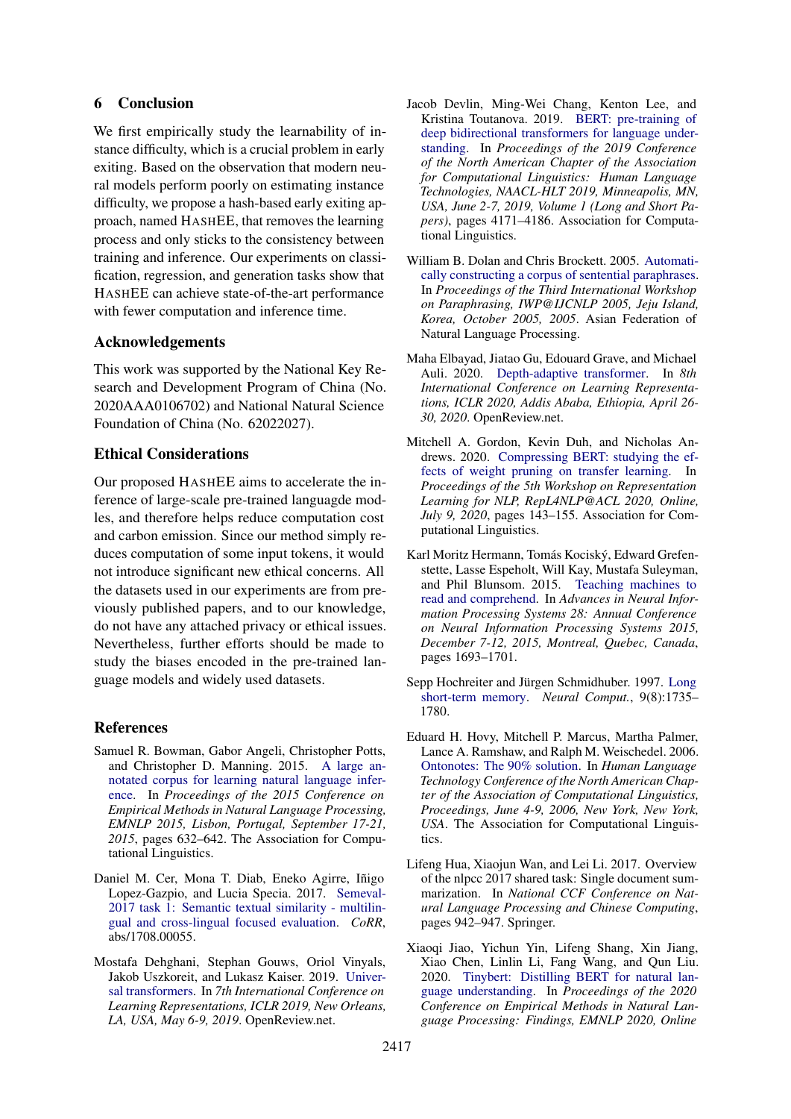## 6 Conclusion

We first empirically study the learnability of instance difficulty, which is a crucial problem in early exiting. Based on the observation that modern neural models perform poorly on estimating instance difficulty, we propose a hash-based early exiting approach, named HASHEE, that removes the learning process and only sticks to the consistency between training and inference. Our experiments on classification, regression, and generation tasks show that HASHEE can achieve state-of-the-art performance with fewer computation and inference time.

## Acknowledgements

This work was supported by the National Key Research and Development Program of China (No. 2020AAA0106702) and National Natural Science Foundation of China (No. 62022027).

## Ethical Considerations

Our proposed HASHEE aims to accelerate the inference of large-scale pre-trained languagde modles, and therefore helps reduce computation cost and carbon emission. Since our method simply reduces computation of some input tokens, it would not introduce significant new ethical concerns. All the datasets used in our experiments are from previously published papers, and to our knowledge, do not have any attached privacy or ethical issues. Nevertheless, further efforts should be made to study the biases encoded in the pre-trained language models and widely used datasets.

## **References**

- <span id="page-8-2"></span>Samuel R. Bowman, Gabor Angeli, Christopher Potts, and Christopher D. Manning. 2015. [A large an](https://doi.org/10.18653/v1/d15-1075)[notated corpus for learning natural language infer](https://doi.org/10.18653/v1/d15-1075)[ence.](https://doi.org/10.18653/v1/d15-1075) In *Proceedings of the 2015 Conference on Empirical Methods in Natural Language Processing, EMNLP 2015, Lisbon, Portugal, September 17-21, 2015*, pages 632–642. The Association for Computational Linguistics.
- <span id="page-8-6"></span>Daniel M. Cer, Mona T. Diab, Eneko Agirre, Iñigo Lopez-Gazpio, and Lucia Specia. 2017. [Semeval-](http://arxiv.org/abs/1708.00055)[2017 task 1: Semantic textual similarity - multilin](http://arxiv.org/abs/1708.00055)[gual and cross-lingual focused evaluation.](http://arxiv.org/abs/1708.00055) *CoRR*, abs/1708.00055.
- <span id="page-8-11"></span>Mostafa Dehghani, Stephan Gouws, Oriol Vinyals, Jakob Uszkoreit, and Lukasz Kaiser. 2019. [Univer](https://openreview.net/forum?id=HyzdRiR9Y7)[sal transformers.](https://openreview.net/forum?id=HyzdRiR9Y7) In *7th International Conference on Learning Representations, ICLR 2019, New Orleans, LA, USA, May 6-9, 2019*. OpenReview.net.
- <span id="page-8-0"></span>Jacob Devlin, Ming-Wei Chang, Kenton Lee, and Kristina Toutanova. 2019. [BERT: pre-training of](https://doi.org/10.18653/v1/n19-1423) [deep bidirectional transformers for language under](https://doi.org/10.18653/v1/n19-1423)[standing.](https://doi.org/10.18653/v1/n19-1423) In *Proceedings of the 2019 Conference of the North American Chapter of the Association for Computational Linguistics: Human Language Technologies, NAACL-HLT 2019, Minneapolis, MN, USA, June 2-7, 2019, Volume 1 (Long and Short Papers)*, pages 4171–4186. Association for Computational Linguistics.
- <span id="page-8-5"></span>William B. Dolan and Chris Brockett. 2005. [Automati](https://aclanthology.org/I05-5002/)[cally constructing a corpus of sentential paraphrases.](https://aclanthology.org/I05-5002/) In *Proceedings of the Third International Workshop on Paraphrasing, IWP@IJCNLP 2005, Jeju Island, Korea, October 2005, 2005*. Asian Federation of Natural Language Processing.
- <span id="page-8-1"></span>Maha Elbayad, Jiatao Gu, Edouard Grave, and Michael Auli. 2020. [Depth-adaptive transformer.](https://openreview.net/forum?id=SJg7KhVKPH) In *8th International Conference on Learning Representations, ICLR 2020, Addis Ababa, Ethiopia, April 26- 30, 2020*. OpenReview.net.
- <span id="page-8-10"></span>Mitchell A. Gordon, Kevin Duh, and Nicholas Andrews. 2020. [Compressing BERT: studying the ef](https://doi.org/10.18653/v1/2020.repl4nlp-1.18)[fects of weight pruning on transfer learning.](https://doi.org/10.18653/v1/2020.repl4nlp-1.18) In *Proceedings of the 5th Workshop on Representation Learning for NLP, RepL4NLP@ACL 2020, Online, July 9, 2020*, pages 143–155. Association for Computational Linguistics.
- <span id="page-8-7"></span>Karl Moritz Hermann, Tomás Kociský, Edward Grefenstette, Lasse Espeholt, Will Kay, Mustafa Suleyman, and Phil Blunsom. 2015. [Teaching machines to](https://proceedings.neurips.cc/paper/2015/hash/afdec7005cc9f14302cd0474fd0f3c96-Abstract.html) [read and comprehend.](https://proceedings.neurips.cc/paper/2015/hash/afdec7005cc9f14302cd0474fd0f3c96-Abstract.html) In *Advances in Neural Information Processing Systems 28: Annual Conference on Neural Information Processing Systems 2015, December 7-12, 2015, Montreal, Quebec, Canada*, pages 1693–1701.
- <span id="page-8-4"></span>Sepp Hochreiter and Jürgen Schmidhuber. 1997. [Long](https://doi.org/10.1162/neco.1997.9.8.1735) [short-term memory.](https://doi.org/10.1162/neco.1997.9.8.1735) *Neural Comput.*, 9(8):1735– 1780.
- <span id="page-8-3"></span>Eduard H. Hovy, Mitchell P. Marcus, Martha Palmer, Lance A. Ramshaw, and Ralph M. Weischedel. 2006. [Ontonotes: The 90% solution.](https://aclanthology.org/N06-2015/) In *Human Language Technology Conference of the North American Chapter of the Association of Computational Linguistics, Proceedings, June 4-9, 2006, New York, New York, USA*. The Association for Computational Linguistics.
- <span id="page-8-8"></span>Lifeng Hua, Xiaojun Wan, and Lei Li. 2017. Overview of the nlpcc 2017 shared task: Single document summarization. In *National CCF Conference on Natural Language Processing and Chinese Computing*, pages 942–947. Springer.
- <span id="page-8-9"></span>Xiaoqi Jiao, Yichun Yin, Lifeng Shang, Xin Jiang, Xiao Chen, Linlin Li, Fang Wang, and Qun Liu. 2020. [Tinybert: Distilling BERT for natural lan](https://doi.org/10.18653/v1/2020.findings-emnlp.372)[guage understanding.](https://doi.org/10.18653/v1/2020.findings-emnlp.372) In *Proceedings of the 2020 Conference on Empirical Methods in Natural Language Processing: Findings, EMNLP 2020, Online*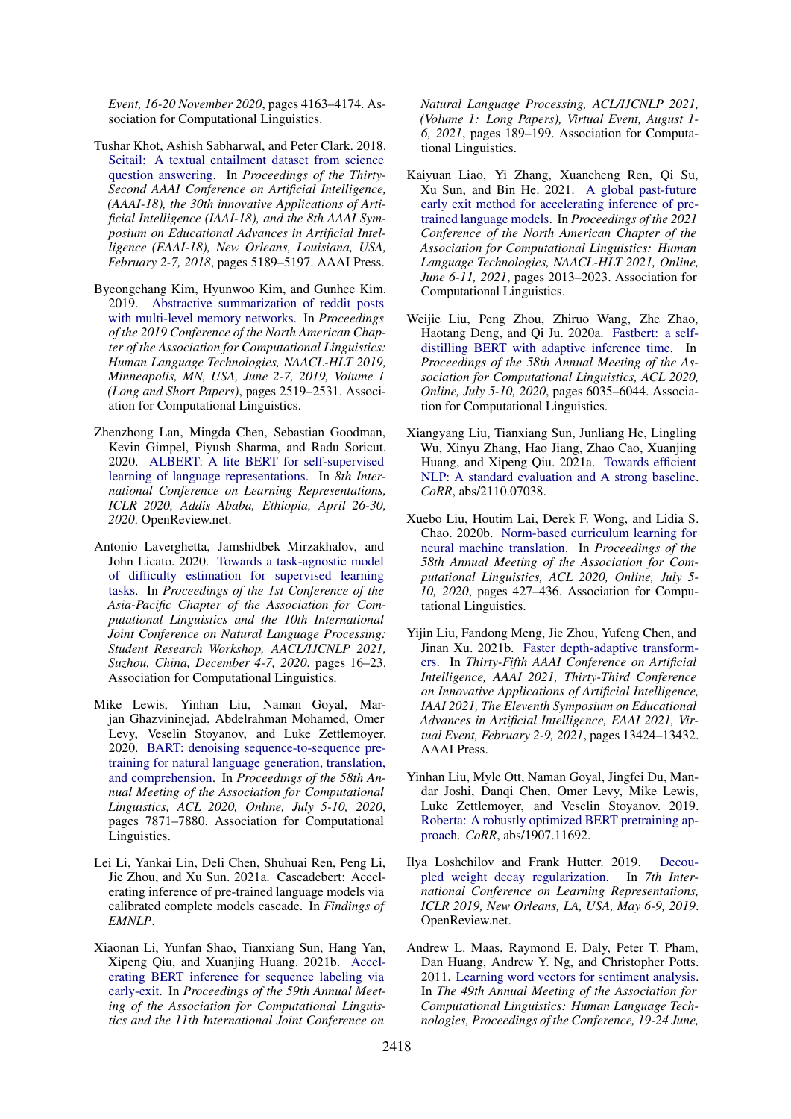*Event, 16-20 November 2020*, pages 4163–4174. Association for Computational Linguistics.

- <span id="page-9-9"></span>Tushar Khot, Ashish Sabharwal, and Peter Clark. 2018. [Scitail: A textual entailment dataset from science](https://www.aaai.org/ocs/index.php/AAAI/AAAI18/paper/view/17368) [question answering.](https://www.aaai.org/ocs/index.php/AAAI/AAAI18/paper/view/17368) In *Proceedings of the Thirty-Second AAAI Conference on Artificial Intelligence, (AAAI-18), the 30th innovative Applications of Artificial Intelligence (IAAI-18), and the 8th AAAI Symposium on Educational Advances in Artificial Intelligence (EAAI-18), New Orleans, Louisiana, USA, February 2-7, 2018*, pages 5189–5197. AAAI Press.
- <span id="page-9-10"></span>Byeongchang Kim, Hyunwoo Kim, and Gunhee Kim. 2019. [Abstractive summarization of reddit posts](https://doi.org/10.18653/v1/n19-1260) [with multi-level memory networks.](https://doi.org/10.18653/v1/n19-1260) In *Proceedings of the 2019 Conference of the North American Chapter of the Association for Computational Linguistics: Human Language Technologies, NAACL-HLT 2019, Minneapolis, MN, USA, June 2-7, 2019, Volume 1 (Long and Short Papers)*, pages 2519–2531. Association for Computational Linguistics.
- <span id="page-9-0"></span>Zhenzhong Lan, Mingda Chen, Sebastian Goodman, Kevin Gimpel, Piyush Sharma, and Radu Soricut. 2020. [ALBERT: A lite BERT for self-supervised](https://openreview.net/forum?id=H1eA7AEtvS) [learning of language representations.](https://openreview.net/forum?id=H1eA7AEtvS) In *8th International Conference on Learning Representations, ICLR 2020, Addis Ababa, Ethiopia, April 26-30, 2020*. OpenReview.net.
- <span id="page-9-2"></span>Antonio Laverghetta, Jamshidbek Mirzakhalov, and John Licato. 2020. [Towards a task-agnostic model](https://aclanthology.org/2020.aacl-srw.3/) [of difficulty estimation for supervised learning](https://aclanthology.org/2020.aacl-srw.3/) [tasks.](https://aclanthology.org/2020.aacl-srw.3/) In *Proceedings of the 1st Conference of the Asia-Pacific Chapter of the Association for Computational Linguistics and the 10th International Joint Conference on Natural Language Processing: Student Research Workshop, AACL/IJCNLP 2021, Suzhou, China, December 4-7, 2020*, pages 16–23. Association for Computational Linguistics.
- <span id="page-9-4"></span>Mike Lewis, Yinhan Liu, Naman Goyal, Marjan Ghazvininejad, Abdelrahman Mohamed, Omer Levy, Veselin Stoyanov, and Luke Zettlemoyer. 2020. [BART: denoising sequence-to-sequence pre](https://doi.org/10.18653/v1/2020.acl-main.703)[training for natural language generation, translation,](https://doi.org/10.18653/v1/2020.acl-main.703) [and comprehension.](https://doi.org/10.18653/v1/2020.acl-main.703) In *Proceedings of the 58th Annual Meeting of the Association for Computational Linguistics, ACL 2020, Online, July 5-10, 2020*, pages 7871–7880. Association for Computational Linguistics.
- <span id="page-9-12"></span>Lei Li, Yankai Lin, Deli Chen, Shuhuai Ren, Peng Li, Jie Zhou, and Xu Sun. 2021a. Cascadebert: Accelerating inference of pre-trained language models via calibrated complete models cascade. In *Findings of EMNLP*.
- <span id="page-9-5"></span>Xiaonan Li, Yunfan Shao, Tianxiang Sun, Hang Yan, Xipeng Qiu, and Xuanjing Huang. 2021b. [Accel](https://doi.org/10.18653/v1/2021.acl-long.16)[erating BERT inference for sequence labeling via](https://doi.org/10.18653/v1/2021.acl-long.16) [early-exit.](https://doi.org/10.18653/v1/2021.acl-long.16) In *Proceedings of the 59th Annual Meeting of the Association for Computational Linguistics and the 11th International Joint Conference on*

*Natural Language Processing, ACL/IJCNLP 2021, (Volume 1: Long Papers), Virtual Event, August 1- 6, 2021*, pages 189–199. Association for Computational Linguistics.

- <span id="page-9-13"></span>Kaiyuan Liao, Yi Zhang, Xuancheng Ren, Qi Su, Xu Sun, and Bin He. 2021. [A global past-future](https://doi.org/10.18653/v1/2021.naacl-main.162) [early exit method for accelerating inference of pre](https://doi.org/10.18653/v1/2021.naacl-main.162)[trained language models.](https://doi.org/10.18653/v1/2021.naacl-main.162) In *Proceedings of the 2021 Conference of the North American Chapter of the Association for Computational Linguistics: Human Language Technologies, NAACL-HLT 2021, Online, June 6-11, 2021*, pages 2013–2023. Association for Computational Linguistics.
- <span id="page-9-1"></span>Weijie Liu, Peng Zhou, Zhiruo Wang, Zhe Zhao, Haotang Deng, and Qi Ju. 2020a. [Fastbert: a self](https://www.aclweb.org/anthology/2020.acl-main.537/)[distilling BERT with adaptive inference time.](https://www.aclweb.org/anthology/2020.acl-main.537/) In *Proceedings of the 58th Annual Meeting of the Association for Computational Linguistics, ACL 2020, Online, July 5-10, 2020*, pages 6035–6044. Association for Computational Linguistics.
- <span id="page-9-3"></span>Xiangyang Liu, Tianxiang Sun, Junliang He, Lingling Wu, Xinyu Zhang, Hao Jiang, Zhao Cao, Xuanjing Huang, and Xipeng Qiu. 2021a. [Towards efficient](http://arxiv.org/abs/2110.07038) [NLP: A standard evaluation and A strong baseline.](http://arxiv.org/abs/2110.07038) *CoRR*, abs/2110.07038.
- <span id="page-9-7"></span>Xuebo Liu, Houtim Lai, Derek F. Wong, and Lidia S. Chao. 2020b. [Norm-based curriculum learning for](https://doi.org/10.18653/v1/2020.acl-main.41) [neural machine translation.](https://doi.org/10.18653/v1/2020.acl-main.41) In *Proceedings of the 58th Annual Meeting of the Association for Computational Linguistics, ACL 2020, Online, July 5- 10, 2020*, pages 427–436. Association for Computational Linguistics.
- <span id="page-9-6"></span>Yijin Liu, Fandong Meng, Jie Zhou, Yufeng Chen, and Jinan Xu. 2021b. [Faster depth-adaptive transform](https://ojs.aaai.org/index.php/AAAI/article/view/17584)[ers.](https://ojs.aaai.org/index.php/AAAI/article/view/17584) In *Thirty-Fifth AAAI Conference on Artificial Intelligence, AAAI 2021, Thirty-Third Conference on Innovative Applications of Artificial Intelligence, IAAI 2021, The Eleventh Symposium on Educational Advances in Artificial Intelligence, EAAI 2021, Virtual Event, February 2-9, 2021*, pages 13424–13432. AAAI Press.
- <span id="page-9-11"></span>Yinhan Liu, Myle Ott, Naman Goyal, Jingfei Du, Mandar Joshi, Danqi Chen, Omer Levy, Mike Lewis, Luke Zettlemoyer, and Veselin Stoyanov. 2019. [Roberta: A robustly optimized BERT pretraining ap](http://arxiv.org/abs/1907.11692)[proach.](http://arxiv.org/abs/1907.11692) *CoRR*, abs/1907.11692.
- <span id="page-9-14"></span>Ilya Loshchilov and Frank Hutter. 2019. [Decou](https://openreview.net/forum?id=Bkg6RiCqY7)[pled weight decay regularization.](https://openreview.net/forum?id=Bkg6RiCqY7) In *7th International Conference on Learning Representations, ICLR 2019, New Orleans, LA, USA, May 6-9, 2019*. OpenReview.net.
- <span id="page-9-8"></span>Andrew L. Maas, Raymond E. Daly, Peter T. Pham, Dan Huang, Andrew Y. Ng, and Christopher Potts. 2011. [Learning word vectors for sentiment analysis.](https://aclanthology.org/P11-1015/) In *The 49th Annual Meeting of the Association for Computational Linguistics: Human Language Technologies, Proceedings of the Conference, 19-24 June,*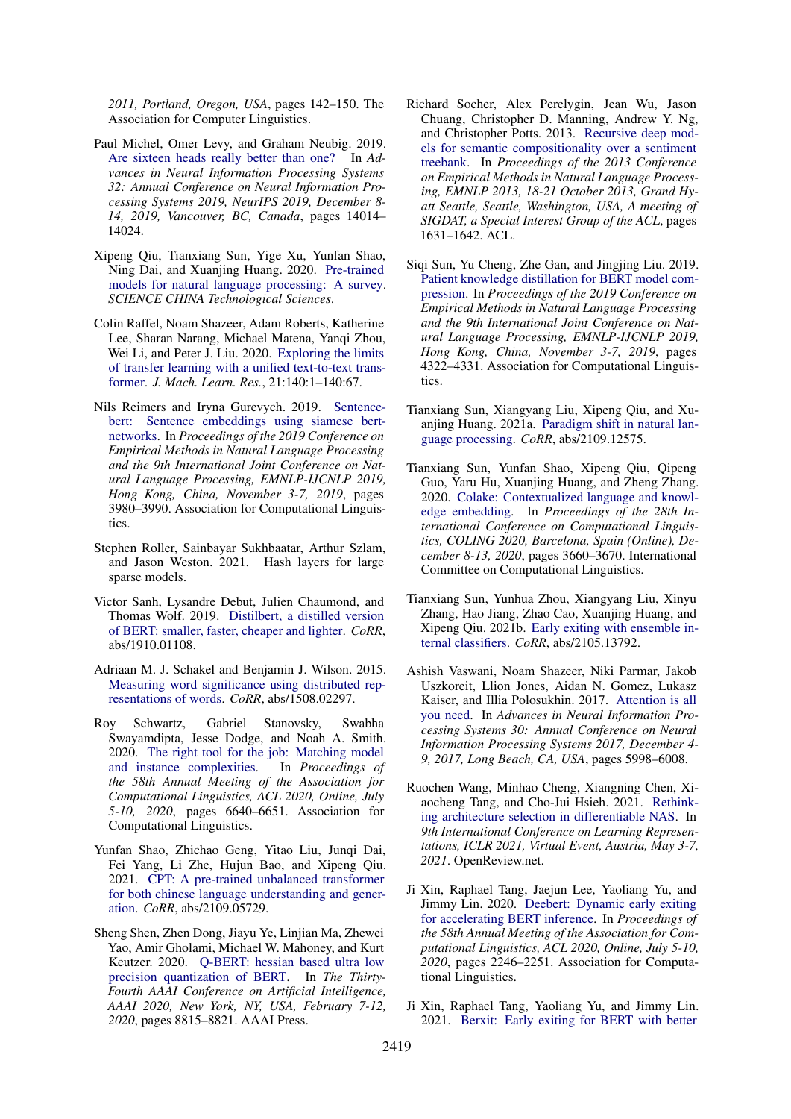*2011, Portland, Oregon, USA*, pages 142–150. The Association for Computer Linguistics.

- <span id="page-10-15"></span>Paul Michel, Omer Levy, and Graham Neubig. 2019. [Are sixteen heads really better than one?](https://proceedings.neurips.cc/paper/2019/hash/2c601ad9d2ff9bc8b282670cdd54f69f-Abstract.html) In *Advances in Neural Information Processing Systems 32: Annual Conference on Neural Information Processing Systems 2019, NeurIPS 2019, December 8- 14, 2019, Vancouver, BC, Canada*, pages 14014– 14024.
- <span id="page-10-2"></span>Xipeng Qiu, Tianxiang Sun, Yige Xu, Yunfan Shao, Ning Dai, and Xuanjing Huang. 2020. [Pre-trained](https://doi.org/https://doi.org/10.1007/s11431-020-1647-3) [models for natural language processing: A survey.](https://doi.org/https://doi.org/10.1007/s11431-020-1647-3) *SCIENCE CHINA Technological Sciences*.
- <span id="page-10-0"></span>Colin Raffel, Noam Shazeer, Adam Roberts, Katherine Lee, Sharan Narang, Michael Matena, Yanqi Zhou, Wei Li, and Peter J. Liu. 2020. [Exploring the limits](http://jmlr.org/papers/v21/20-074.html) [of transfer learning with a unified text-to-text trans](http://jmlr.org/papers/v21/20-074.html)[former.](http://jmlr.org/papers/v21/20-074.html) *J. Mach. Learn. Res.*, 21:140:1–140:67.
- <span id="page-10-8"></span>Nils Reimers and Iryna Gurevych. 2019. [Sentence](https://doi.org/10.18653/v1/D19-1410)[bert: Sentence embeddings using siamese bert](https://doi.org/10.18653/v1/D19-1410)[networks.](https://doi.org/10.18653/v1/D19-1410) In *Proceedings of the 2019 Conference on Empirical Methods in Natural Language Processing and the 9th International Joint Conference on Natural Language Processing, EMNLP-IJCNLP 2019, Hong Kong, China, November 3-7, 2019*, pages 3980–3990. Association for Computational Linguistics.
- <span id="page-10-10"></span>Stephen Roller, Sainbayar Sukhbaatar, Arthur Szlam, and Jason Weston. 2021. Hash layers for large sparse models.
- <span id="page-10-14"></span>Victor Sanh, Lysandre Debut, Julien Chaumond, and Thomas Wolf. 2019. [Distilbert, a distilled version](http://arxiv.org/abs/1910.01108) [of BERT: smaller, faster, cheaper and lighter.](http://arxiv.org/abs/1910.01108) *CoRR*, abs/1910.01108.
- <span id="page-10-12"></span>Adriaan M. J. Schakel and Benjamin J. Wilson. 2015. [Measuring word significance using distributed rep](http://arxiv.org/abs/1508.02297)[resentations of words.](http://arxiv.org/abs/1508.02297) *CoRR*, abs/1508.02297.
- <span id="page-10-5"></span>Roy Schwartz, Gabriel Stanovsky, Swabha Swayamdipta, Jesse Dodge, and Noah A. Smith. 2020. [The right tool for the job: Matching model](https://www.aclweb.org/anthology/2020.acl-main.593/) [and instance complexities.](https://www.aclweb.org/anthology/2020.acl-main.593/) In *Proceedings of the 58th Annual Meeting of the Association for Computational Linguistics, ACL 2020, Online, July 5-10, 2020*, pages 6640–6651. Association for Computational Linguistics.
- <span id="page-10-7"></span>Yunfan Shao, Zhichao Geng, Yitao Liu, Junqi Dai, Fei Yang, Li Zhe, Hujun Bao, and Xipeng Qiu. 2021. [CPT: A pre-trained unbalanced transformer](http://arxiv.org/abs/2109.05729) [for both chinese language understanding and gener](http://arxiv.org/abs/2109.05729)[ation.](http://arxiv.org/abs/2109.05729) *CoRR*, abs/2109.05729.
- <span id="page-10-17"></span>Sheng Shen, Zhen Dong, Jiayu Ye, Linjian Ma, Zhewei Yao, Amir Gholami, Michael W. Mahoney, and Kurt Keutzer. 2020. [Q-BERT: hessian based ultra low](https://aaai.org/ojs/index.php/AAAI/article/view/6409) [precision quantization of BERT.](https://aaai.org/ojs/index.php/AAAI/article/view/6409) In *The Thirty-Fourth AAAI Conference on Artificial Intelligence, AAAI 2020, New York, NY, USA, February 7-12, 2020*, pages 8815–8821. AAAI Press.
- <span id="page-10-13"></span>Richard Socher, Alex Perelygin, Jean Wu, Jason Chuang, Christopher D. Manning, Andrew Y. Ng, and Christopher Potts. 2013. [Recursive deep mod](https://aclanthology.org/D13-1170/)[els for semantic compositionality over a sentiment](https://aclanthology.org/D13-1170/) [treebank.](https://aclanthology.org/D13-1170/) In *Proceedings of the 2013 Conference on Empirical Methods in Natural Language Processing, EMNLP 2013, 18-21 October 2013, Grand Hyatt Seattle, Seattle, Washington, USA, A meeting of SIGDAT, a Special Interest Group of the ACL*, pages 1631–1642. ACL.
- <span id="page-10-16"></span>Siqi Sun, Yu Cheng, Zhe Gan, and Jingjing Liu. 2019. [Patient knowledge distillation for BERT model com](https://doi.org/10.18653/v1/D19-1441)[pression.](https://doi.org/10.18653/v1/D19-1441) In *Proceedings of the 2019 Conference on Empirical Methods in Natural Language Processing and the 9th International Joint Conference on Natural Language Processing, EMNLP-IJCNLP 2019, Hong Kong, China, November 3-7, 2019*, pages 4322–4331. Association for Computational Linguistics.
- <span id="page-10-3"></span>Tianxiang Sun, Xiangyang Liu, Xipeng Qiu, and Xuanjing Huang. 2021a. [Paradigm shift in natural lan](http://arxiv.org/abs/2109.12575)[guage processing.](http://arxiv.org/abs/2109.12575) *CoRR*, abs/2109.12575.
- <span id="page-10-1"></span>Tianxiang Sun, Yunfan Shao, Xipeng Qiu, Qipeng Guo, Yaru Hu, Xuanjing Huang, and Zheng Zhang. 2020. [Colake: Contextualized language and knowl](https://doi.org/10.18653/v1/2020.coling-main.327)[edge embedding.](https://doi.org/10.18653/v1/2020.coling-main.327) In *Proceedings of the 28th International Conference on Computational Linguistics, COLING 2020, Barcelona, Spain (Online), December 8-13, 2020*, pages 3660–3670. International Committee on Computational Linguistics.
- <span id="page-10-18"></span>Tianxiang Sun, Yunhua Zhou, Xiangyang Liu, Xinyu Zhang, Hao Jiang, Zhao Cao, Xuanjing Huang, and Xipeng Qiu. 2021b. [Early exiting with ensemble in](http://arxiv.org/abs/2105.13792)[ternal classifiers.](http://arxiv.org/abs/2105.13792) *CoRR*, abs/2105.13792.
- <span id="page-10-11"></span>Ashish Vaswani, Noam Shazeer, Niki Parmar, Jakob Uszkoreit, Llion Jones, Aidan N. Gomez, Lukasz Kaiser, and Illia Polosukhin. 2017. [Attention is all](https://proceedings.neurips.cc/paper/2017/hash/3f5ee243547dee91fbd053c1c4a845aa-Abstract.html) [you need.](https://proceedings.neurips.cc/paper/2017/hash/3f5ee243547dee91fbd053c1c4a845aa-Abstract.html) In *Advances in Neural Information Processing Systems 30: Annual Conference on Neural Information Processing Systems 2017, December 4- 9, 2017, Long Beach, CA, USA*, pages 5998–6008.
- <span id="page-10-9"></span>Ruochen Wang, Minhao Cheng, Xiangning Chen, Xiaocheng Tang, and Cho-Jui Hsieh. 2021. [Rethink](https://openreview.net/forum?id=PKubaeJkw3)[ing architecture selection in differentiable NAS.](https://openreview.net/forum?id=PKubaeJkw3) In *9th International Conference on Learning Representations, ICLR 2021, Virtual Event, Austria, May 3-7, 2021*. OpenReview.net.
- <span id="page-10-4"></span>Ji Xin, Raphael Tang, Jaejun Lee, Yaoliang Yu, and Jimmy Lin. 2020. [Deebert: Dynamic early exiting](https://www.aclweb.org/anthology/2020.acl-main.204/) [for accelerating BERT inference.](https://www.aclweb.org/anthology/2020.acl-main.204/) In *Proceedings of the 58th Annual Meeting of the Association for Computational Linguistics, ACL 2020, Online, July 5-10, 2020*, pages 2246–2251. Association for Computational Linguistics.
- <span id="page-10-6"></span>Ji Xin, Raphael Tang, Yaoliang Yu, and Jimmy Lin. 2021. [Berxit: Early exiting for BERT with better](https://aclanthology.org/2021.eacl-main.8/)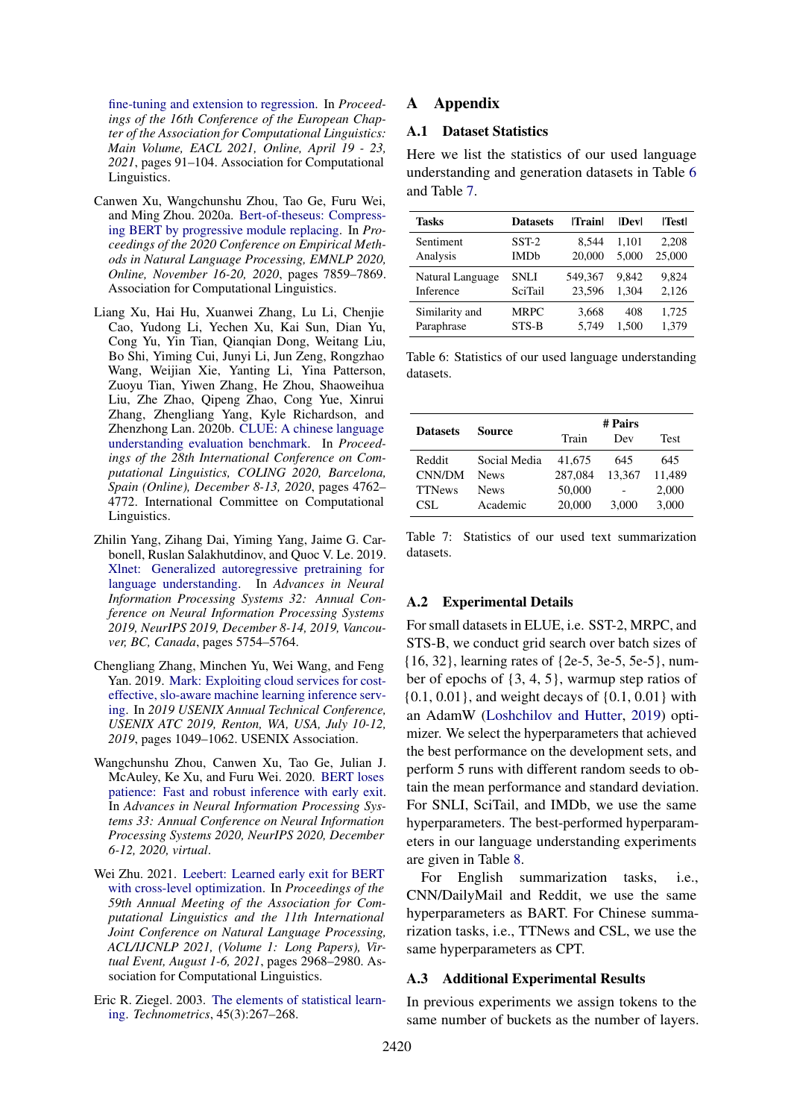[fine-tuning and extension to regression.](https://aclanthology.org/2021.eacl-main.8/) In *Proceedings of the 16th Conference of the European Chapter of the Association for Computational Linguistics: Main Volume, EACL 2021, Online, April 19 - 23, 2021*, pages 91–104. Association for Computational Linguistics.

- <span id="page-11-5"></span>Canwen Xu, Wangchunshu Zhou, Tao Ge, Furu Wei, and Ming Zhou. 2020a. [Bert-of-theseus: Compress](https://doi.org/10.18653/v1/2020.emnlp-main.633)[ing BERT by progressive module replacing.](https://doi.org/10.18653/v1/2020.emnlp-main.633) In *Proceedings of the 2020 Conference on Empirical Methods in Natural Language Processing, EMNLP 2020, Online, November 16-20, 2020*, pages 7859–7869. Association for Computational Linguistics.
- <span id="page-11-4"></span>Liang Xu, Hai Hu, Xuanwei Zhang, Lu Li, Chenjie Cao, Yudong Li, Yechen Xu, Kai Sun, Dian Yu, Cong Yu, Yin Tian, Qianqian Dong, Weitang Liu, Bo Shi, Yiming Cui, Junyi Li, Jun Zeng, Rongzhao Wang, Weijian Xie, Yanting Li, Yina Patterson, Zuoyu Tian, Yiwen Zhang, He Zhou, Shaoweihua Liu, Zhe Zhao, Qipeng Zhao, Cong Yue, Xinrui Zhang, Zhengliang Yang, Kyle Richardson, and Zhenzhong Lan. 2020b. [CLUE: A chinese language](https://doi.org/10.18653/v1/2020.coling-main.419) [understanding evaluation benchmark.](https://doi.org/10.18653/v1/2020.coling-main.419) In *Proceedings of the 28th International Conference on Computational Linguistics, COLING 2020, Barcelona, Spain (Online), December 8-13, 2020*, pages 4762– 4772. International Committee on Computational Linguistics.
- <span id="page-11-0"></span>Zhilin Yang, Zihang Dai, Yiming Yang, Jaime G. Carbonell, Ruslan Salakhutdinov, and Quoc V. Le. 2019. [Xlnet: Generalized autoregressive pretraining for](http://papers.nips.cc/paper/8812-xlnet-generalized-autoregressive-pretraining-for-language-understanding) [language understanding.](http://papers.nips.cc/paper/8812-xlnet-generalized-autoregressive-pretraining-for-language-understanding) In *Advances in Neural Information Processing Systems 32: Annual Conference on Neural Information Processing Systems 2019, NeurIPS 2019, December 8-14, 2019, Vancouver, BC, Canada*, pages 5754–5764.
- <span id="page-11-7"></span>Chengliang Zhang, Minchen Yu, Wei Wang, and Feng Yan. 2019. [Mark: Exploiting cloud services for cost](https://www.usenix.org/conference/atc19/presentation/zhang-chengliang)[effective, slo-aware machine learning inference serv](https://www.usenix.org/conference/atc19/presentation/zhang-chengliang)[ing.](https://www.usenix.org/conference/atc19/presentation/zhang-chengliang) In *2019 USENIX Annual Technical Conference, USENIX ATC 2019, Renton, WA, USA, July 10-12, 2019*, pages 1049–1062. USENIX Association.
- <span id="page-11-2"></span>Wangchunshu Zhou, Canwen Xu, Tao Ge, Julian J. McAuley, Ke Xu, and Furu Wei. 2020. [BERT loses](https://proceedings.neurips.cc/paper/2020/hash/d4dd111a4fd973394238aca5c05bebe3-Abstract.html) [patience: Fast and robust inference with early exit.](https://proceedings.neurips.cc/paper/2020/hash/d4dd111a4fd973394238aca5c05bebe3-Abstract.html) In *Advances in Neural Information Processing Systems 33: Annual Conference on Neural Information Processing Systems 2020, NeurIPS 2020, December 6-12, 2020, virtual*.
- <span id="page-11-8"></span>Wei Zhu. 2021. [Leebert: Learned early exit for BERT](https://doi.org/10.18653/v1/2021.acl-long.231) [with cross-level optimization.](https://doi.org/10.18653/v1/2021.acl-long.231) In *Proceedings of the 59th Annual Meeting of the Association for Computational Linguistics and the 11th International Joint Conference on Natural Language Processing, ACL/IJCNLP 2021, (Volume 1: Long Papers), Virtual Event, August 1-6, 2021*, pages 2968–2980. Association for Computational Linguistics.
- <span id="page-11-1"></span>Eric R. Ziegel. 2003. [The elements of statistical learn](https://doi.org/10.1198/tech.2003.s770)[ing.](https://doi.org/10.1198/tech.2003.s770) *Technometrics*, 45(3):267–268.

## **Appendix**

## <span id="page-11-3"></span>A.1 Dataset Statistics

Here we list the statistics of our used language understanding and generation datasets in Table [6](#page-11-9) and Table [7.](#page-11-10)

<span id="page-11-9"></span>

| <b>Tasks</b>     | <b>Datasets</b>        | <b>Trainl</b> | $\bf Devl$ | <b>Testl</b> |
|------------------|------------------------|---------------|------------|--------------|
| Sentiment        | $SST-2$                | 8,544         | 1.101      | 2,208        |
| Analysis         | <b>IMD<sub>b</sub></b> | 20,000        | 5.000      | 25,000       |
| Natural Language | <b>SNLI</b>            | 549.367       | 9.842      | 9.824        |
| Inference        | <b>SciTail</b>         | 23,596        | 1.304      | 2,126        |
| Similarity and   | <b>MRPC</b>            | 3.668         | 408        | 1.725        |
| Paraphrase       | STS-B                  | 5.749         | 1.500      | 1.379        |

Table 6: Statistics of our used language understanding datasets.

<span id="page-11-10"></span>

|                 | Source       | # Pairs |                          |        |  |
|-----------------|--------------|---------|--------------------------|--------|--|
| <b>Datasets</b> |              | Train   | Dev                      | Test   |  |
| Reddit          | Social Media | 41,675  | 645                      | 645    |  |
| CNN/DM          | <b>News</b>  | 287,084 | 13.367                   | 11,489 |  |
| <b>TTNews</b>   | <b>News</b>  | 50,000  | $\overline{\phantom{0}}$ | 2,000  |  |
| CSL.            | Academic     | 20,000  | 3,000                    | 3,000  |  |

Table 7: Statistics of our used text summarization datasets.

## <span id="page-11-6"></span>A.2 Experimental Details

For small datasets in ELUE, i.e. SST-2, MRPC, and STS-B, we conduct grid search over batch sizes of {16, 32}, learning rates of {2e-5, 3e-5, 5e-5}, number of epochs of {3, 4, 5}, warmup step ratios of {0.1, 0.01}, and weight decays of {0.1, 0.01} with an AdamW [\(Loshchilov and Hutter,](#page-9-14) [2019\)](#page-9-14) optimizer. We select the hyperparameters that achieved the best performance on the development sets, and perform 5 runs with different random seeds to obtain the mean performance and standard deviation. For SNLI, SciTail, and IMDb, we use the same hyperparameters. The best-performed hyperparameters in our language understanding experiments are given in Table [8.](#page-12-1)

For English summarization tasks, i.e., CNN/DailyMail and Reddit, we use the same hyperparameters as BART. For Chinese summarization tasks, i.e., TTNews and CSL, we use the same hyperparameters as CPT.

#### A.3 Additional Experimental Results

In previous experiments we assign tokens to the same number of buckets as the number of layers.